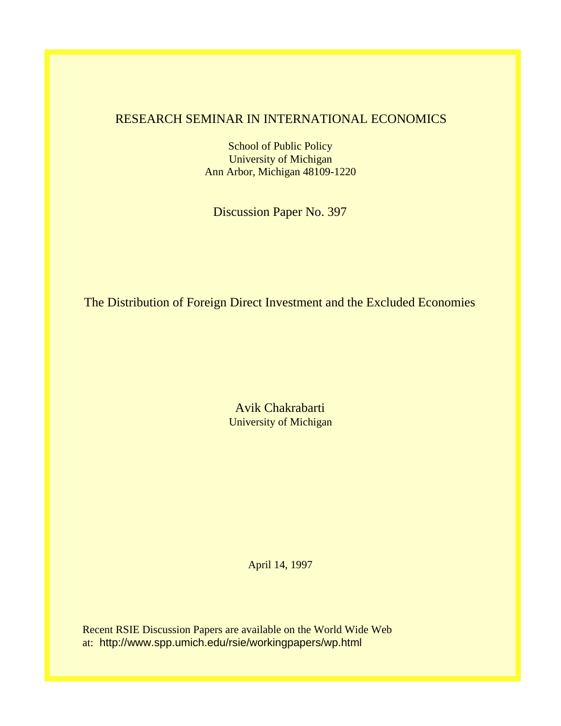# RESEARCH SEMINAR IN INTERNATIONAL ECONOMICS

School of Public Policy University of Michigan Ann Arbor, Michigan 48109-1220

Discussion Paper No. 397

The Distribution of Foreign Direct Investment and the Excluded Economies

Avik Chakrabarti University of Michigan

April 14, 1997

Recent RSIE Discussion Papers are available on the World Wide Web at: http://www.spp.umich.edu/rsie/workingpapers/wp.html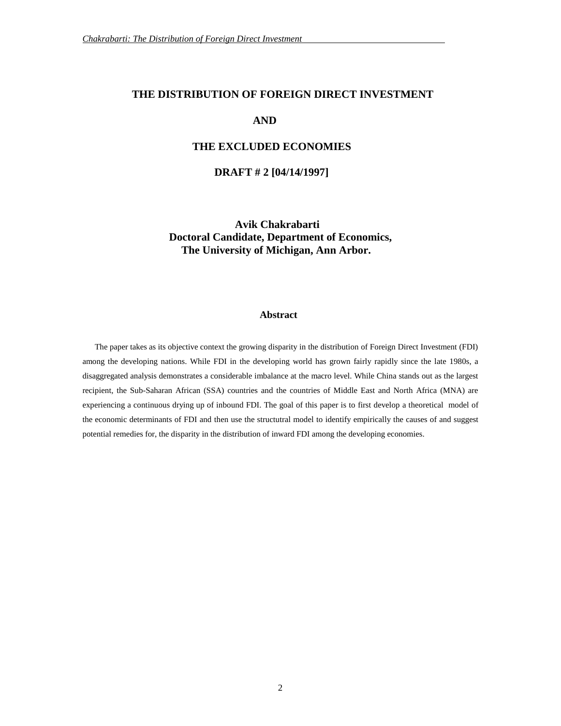#### **THE DISTRIBUTION OF FOREIGN DIRECT INVESTMENT**

## **AND**

## **THE EXCLUDED ECONOMIES**

### **DRAFT # 2 [04/14/1997]**

**Avik Chakrabarti Doctoral Candidate, Department of Economics, The University of Michigan, Ann Arbor.**

#### **Abstract**

The paper takes as its objective context the growing disparity in the distribution of Foreign Direct Investment (FDI) among the developing nations. While FDI in the developing world has grown fairly rapidly since the late 1980s, a disaggregated analysis demonstrates a considerable imbalance at the macro level. While China stands out as the largest recipient, the Sub-Saharan African (SSA) countries and the countries of Middle East and North Africa (MNA) are experiencing a continuous drying up of inbound FDI. The goal of this paper is to first develop a theoretical model of the economic determinants of FDI and then use the structutral model to identify empirically the causes of and suggest potential remedies for, the disparity in the distribution of inward FDI among the developing economies.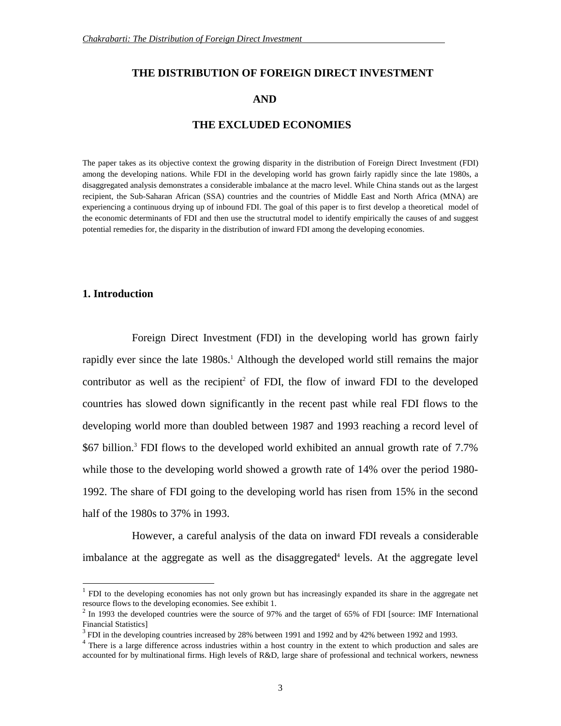## **THE DISTRIBUTION OF FOREIGN DIRECT INVESTMENT**

## **AND**

## **THE EXCLUDED ECONOMIES**

The paper takes as its objective context the growing disparity in the distribution of Foreign Direct Investment (FDI) among the developing nations. While FDI in the developing world has grown fairly rapidly since the late 1980s, a disaggregated analysis demonstrates a considerable imbalance at the macro level. While China stands out as the largest recipient, the Sub-Saharan African (SSA) countries and the countries of Middle East and North Africa (MNA) are experiencing a continuous drying up of inbound FDI. The goal of this paper is to first develop a theoretical model of the economic determinants of FDI and then use the structutral model to identify empirically the causes of and suggest potential remedies for, the disparity in the distribution of inward FDI among the developing economies.

## **1. Introduction**

 $\overline{a}$ 

Foreign Direct Investment (FDI) in the developing world has grown fairly rapidly ever since the late 1980s.<sup>1</sup> Although the developed world still remains the major contributor as well as the recipient<sup>2</sup> of FDI, the flow of inward FDI to the developed countries has slowed down significantly in the recent past while real FDI flows to the developing world more than doubled between 1987 and 1993 reaching a record level of \$67 billion.<sup>3</sup> FDI flows to the developed world exhibited an annual growth rate of 7.7% while those to the developing world showed a growth rate of 14% over the period 1980- 1992. The share of FDI going to the developing world has risen from 15% in the second half of the 1980s to 37% in 1993.

However, a careful analysis of the data on inward FDI reveals a considerable imbalance at the aggregate as well as the disaggregated<sup>4</sup> levels. At the aggregate level

<sup>&</sup>lt;sup>1</sup> FDI to the developing economies has not only grown but has increasingly expanded its share in the aggregate net resource flows to the developing economies. See exhibit 1.

 $2$  In 1993 the developed countries were the source of 97% and the target of 65% of FDI [source: IMF International Financial Statistics]

 $3$  FDI in the developing countries increased by 28% between 1991 and 1992 and by 42% between 1992 and 1993.

<sup>&</sup>lt;sup>4</sup> There is a large difference across industries within a host country in the extent to which production and sales are accounted for by multinational firms. High levels of R&D, large share of professional and technical workers, newness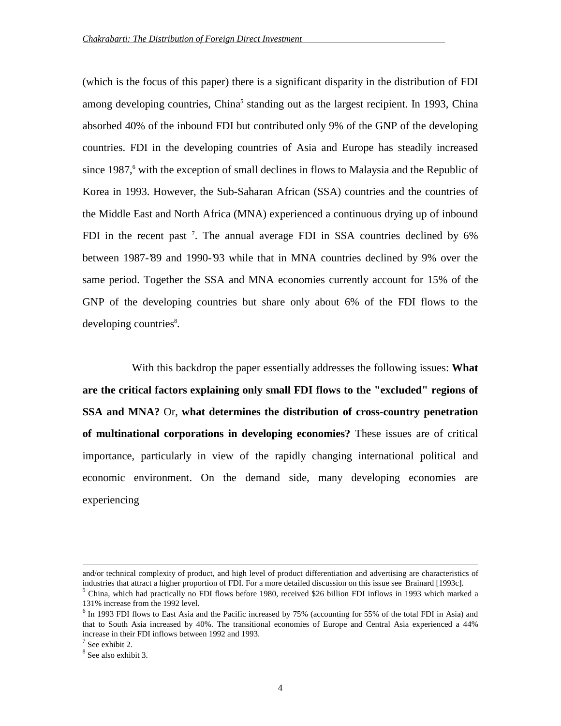(which is the focus of this paper) there is a significant disparity in the distribution of FDI among developing countries, China<sup>5</sup> standing out as the largest recipient. In 1993, China absorbed 40% of the inbound FDI but contributed only 9% of the GNP of the developing countries. FDI in the developing countries of Asia and Europe has steadily increased since 1987,<sup>6</sup> with the exception of small declines in flows to Malaysia and the Republic of Korea in 1993. However, the Sub-Saharan African (SSA) countries and the countries of the Middle East and North Africa (MNA) experienced a continuous drying up of inbound FDI in the recent past<sup>7</sup>. The annual average FDI in SSA countries declined by 6% between 1987-'89 and 1990-'93 while that in MNA countries declined by 9% over the same period. Together the SSA and MNA economies currently account for 15% of the GNP of the developing countries but share only about 6% of the FDI flows to the developing countries<sup>8</sup>.

With this backdrop the paper essentially addresses the following issues: **What are the critical factors explaining only small FDI flows to the "excluded" regions of SSA and MNA?** Or, **what determines the distribution of cross-country penetration of multinational corporations in developing economies?** These issues are of critical importance, particularly in view of the rapidly changing international political and economic environment. On the demand side, many developing economies are experiencing

and/or technical complexity of product, and high level of product differentiation and advertising are characteristics of industries that attract a higher proportion of FDI. For a more detailed discussion on this issue see Brainard [1993c].

<sup>&</sup>lt;sup>5</sup> China, which had practically no FDI flows before 1980, received \$26 billion FDI inflows in 1993 which marked a 131% increase from the 1992 level.

<sup>&</sup>lt;sup>6</sup> In 1993 FDI flows to East Asia and the Pacific increased by 75% (accounting for 55% of the total FDI in Asia) and that to South Asia increased by 40%. The transitional economies of Europe and Central Asia experienced a 44% increase in their FDI inflows between 1992 and 1993.

 $7$  See exhibit 2.

<sup>8</sup> See also exhibit 3.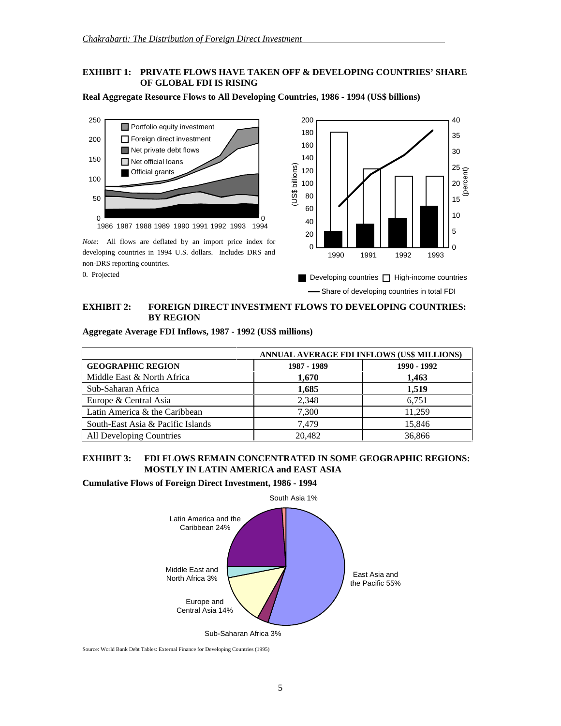## **EXHIBIT 1: PRIVATE FLOWS HAVE TAKEN OFF & DEVELOPING COUNTRIES' SHARE OF GLOBAL FDI IS RISING**



**Real Aggregate Resource Flows to All Developing Countries, 1986 - 1994 (US\$ billions)**

### **EXHIBIT 2: FOREIGN DIRECT INVESTMENT FLOWS TO DEVELOPING COUNTRIES: BY REGION**

|                                   | ANNUAL AVERAGE FDI INFLOWS (US\$ MILLIONS) |             |  |
|-----------------------------------|--------------------------------------------|-------------|--|
| <b>GEOGRAPHIC REGION</b>          | 1987 - 1989                                | 1990 - 1992 |  |
| Middle East & North Africa        | 1,670                                      | 1.463       |  |
| Sub-Saharan Africa                | 1.685                                      | 1.519       |  |
| Europe & Central Asia             | 2,348                                      | 6,751       |  |
| Latin America & the Caribbean     | 7,300                                      | 11,259      |  |
| South-East Asia & Pacific Islands | 7.479                                      | 15,846      |  |
| All Developing Countries          | 20.482                                     | 36,866      |  |

#### **Aggregate Average FDI Inflows, 1987 - 1992 (US\$ millions)**

## **EXHIBIT 3: FDI FLOWS REMAIN CONCENTRATED IN SOME GEOGRAPHIC REGIONS: MOSTLY IN LATIN AMERICA and EAST ASIA**

**Cumulative Flows of Foreign Direct Investment, 1986 - 1994**



Source: World Bank Debt Tables: External Finance for Developing Countries (1995)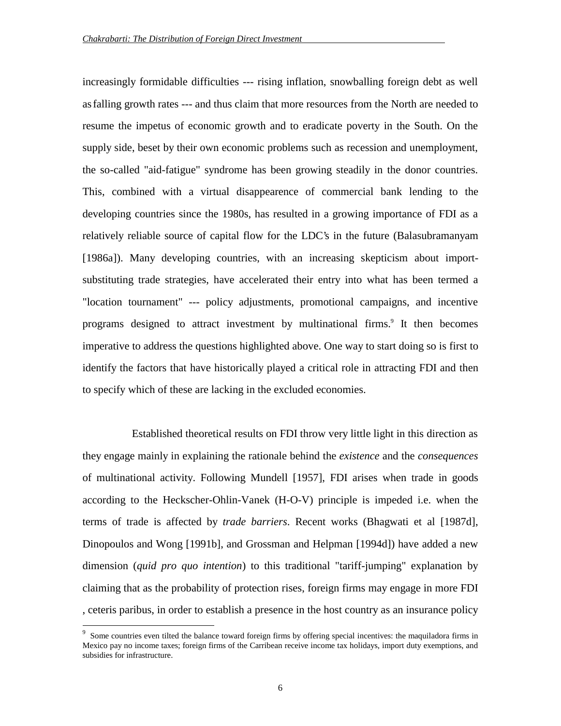increasingly formidable difficulties --- rising inflation, snowballing foreign debt as well asfalling growth rates --- and thus claim that more resources from the North are needed to resume the impetus of economic growth and to eradicate poverty in the South. On the supply side, beset by their own economic problems such as recession and unemployment, the so-called "aid-fatigue" syndrome has been growing steadily in the donor countries. This, combined with a virtual disappearence of commercial bank lending to the developing countries since the 1980s, has resulted in a growing importance of FDI as a relatively reliable source of capital flow for the LDC's in the future (Balasubramanyam [1986a]). Many developing countries, with an increasing skepticism about importsubstituting trade strategies, have accelerated their entry into what has been termed a "location tournament" --- policy adjustments, promotional campaigns, and incentive programs designed to attract investment by multinational firms.<sup>9</sup> It then becomes imperative to address the questions highlighted above. One way to start doing so is first to identify the factors that have historically played a critical role in attracting FDI and then to specify which of these are lacking in the excluded economies.

Established theoretical results on FDI throw very little light in this direction as they engage mainly in explaining the rationale behind the *existence* and the *consequences* of multinational activity. Following Mundell [1957], FDI arises when trade in goods according to the Heckscher-Ohlin-Vanek (H-O-V) principle is impeded i.e. when the terms of trade is affected by *trade barriers*. Recent works (Bhagwati et al [1987d], Dinopoulos and Wong [1991b], and Grossman and Helpman [1994d]) have added a new dimension (*quid pro quo intention*) to this traditional "tariff-jumping" explanation by claiming that as the probability of protection rises, foreign firms may engage in more FDI , ceteris paribus, in order to establish a presence in the host country as an insurance policy

<sup>9</sup> Some countries even tilted the balance toward foreign firms by offering special incentives: the maquiladora firms in Mexico pay no income taxes; foreign firms of the Carribean receive income tax holidays, import duty exemptions, and subsidies for infrastructure.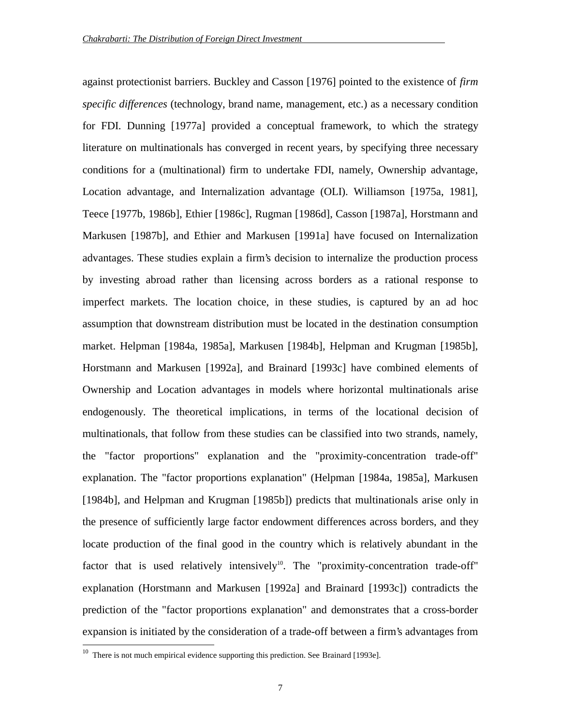against protectionist barriers. Buckley and Casson [1976] pointed to the existence of *firm specific differences* (technology, brand name, management, etc.) as a necessary condition for FDI. Dunning [1977a] provided a conceptual framework, to which the strategy literature on multinationals has converged in recent years, by specifying three necessary conditions for a (multinational) firm to undertake FDI, namely, Ownership advantage, Location advantage, and Internalization advantage (OLI). Williamson [1975a, 1981], Teece [1977b, 1986b], Ethier [1986c], Rugman [1986d], Casson [1987a], Horstmann and Markusen [1987b], and Ethier and Markusen [1991a] have focused on Internalization advantages. These studies explain a firm's decision to internalize the production process by investing abroad rather than licensing across borders as a rational response to imperfect markets. The location choice, in these studies, is captured by an ad hoc assumption that downstream distribution must be located in the destination consumption market. Helpman [1984a, 1985a], Markusen [1984b], Helpman and Krugman [1985b], Horstmann and Markusen [1992a], and Brainard [1993c] have combined elements of Ownership and Location advantages in models where horizontal multinationals arise endogenously. The theoretical implications, in terms of the locational decision of multinationals, that follow from these studies can be classified into two strands, namely, the "factor proportions" explanation and the "proximity-concentration trade-off" explanation. The "factor proportions explanation" (Helpman [1984a, 1985a], Markusen [1984b], and Helpman and Krugman [1985b]) predicts that multinationals arise only in the presence of sufficiently large factor endowment differences across borders, and they locate production of the final good in the country which is relatively abundant in the factor that is used relatively intensively<sup>10</sup>. The "proximity-concentration trade-off" explanation (Horstmann and Markusen [1992a] and Brainard [1993c]) contradicts the prediction of the "factor proportions explanation" and demonstrates that a cross-border expansion is initiated by the consideration of a trade-off between a firm's advantages from

 $10$  There is not much empirical evidence supporting this prediction. See Brainard [1993e].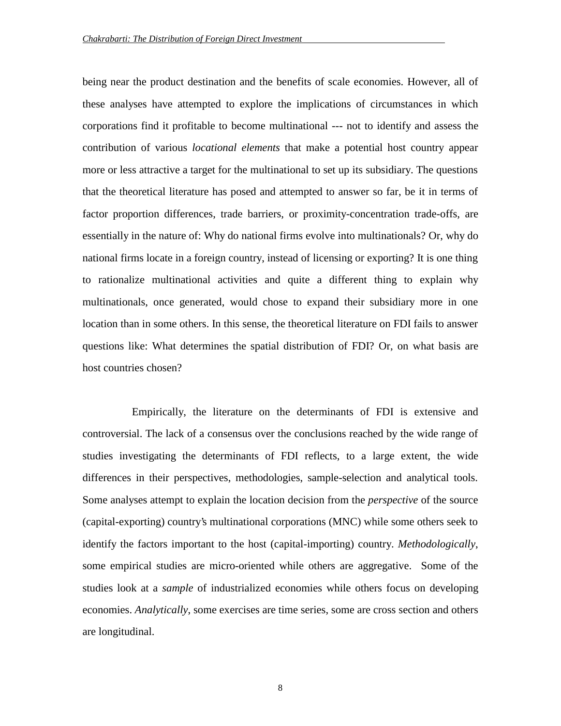being near the product destination and the benefits of scale economies. However, all of these analyses have attempted to explore the implications of circumstances in which corporations find it profitable to become multinational --- not to identify and assess the contribution of various *locational elements* that make a potential host country appear more or less attractive a target for the multinational to set up its subsidiary. The questions that the theoretical literature has posed and attempted to answer so far, be it in terms of factor proportion differences, trade barriers, or proximity-concentration trade-offs, are essentially in the nature of: Why do national firms evolve into multinationals? Or, why do national firms locate in a foreign country, instead of licensing or exporting? It is one thing to rationalize multinational activities and quite a different thing to explain why multinationals, once generated, would chose to expand their subsidiary more in one location than in some others. In this sense, the theoretical literature on FDI fails to answer questions like: What determines the spatial distribution of FDI? Or, on what basis are host countries chosen?

Empirically, the literature on the determinants of FDI is extensive and controversial. The lack of a consensus over the conclusions reached by the wide range of studies investigating the determinants of FDI reflects, to a large extent, the wide differences in their perspectives, methodologies, sample-selection and analytical tools. Some analyses attempt to explain the location decision from the *perspective* of the source (capital-exporting) country's multinational corporations (MNC) while some others seek to identify the factors important to the host (capital-importing) country. *Methodologically*, some empirical studies are micro-oriented while others are aggregative. Some of the studies look at a *sample* of industrialized economies while others focus on developing economies. *Analytically*, some exercises are time series, some are cross section and others are longitudinal.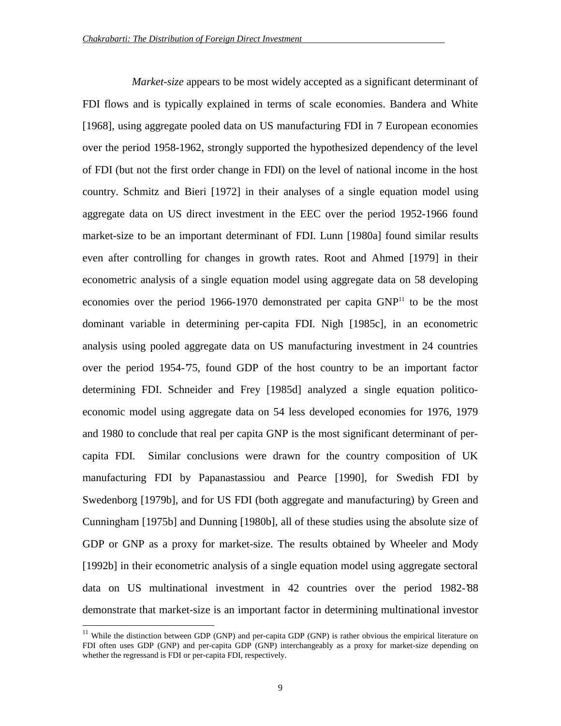*Market-size* appears to be most widely accepted as a significant determinant of FDI flows and is typically explained in terms of scale economies. Bandera and White [1968], using aggregate pooled data on US manufacturing FDI in 7 European economies over the period 1958-1962, strongly supported the hypothesized dependency of the level of FDI (but not the first order change in FDI) on the level of national income in the host country. Schmitz and Bieri [1972] in their analyses of a single equation model using aggregate data on US direct investment in the EEC over the period 1952-1966 found market-size to be an important determinant of FDI. Lunn [1980a] found similar results even after controlling for changes in growth rates. Root and Ahmed [1979] in their econometric analysis of a single equation model using aggregate data on 58 developing economies over the period 1966-1970 demonstrated per capita GNP<sup>11</sup> to be the most dominant variable in determining per-capita FDI. Nigh [1985c], in an econometric analysis using pooled aggregate data on US manufacturing investment in 24 countries over the period 1954-75, found GDP of the host country to be an important factor determining FDI. Schneider and Frey [1985d] analyzed a single equation politicoeconomic model using aggregate data on 54 less developed economies for 1976, 1979 and 1980 to conclude that real per capita GNP is the most significant determinant of percapita FDI. Similar conclusions were drawn for the country composition of UK manufacturing FDI by Papanastassiou and Pearce [1990], for Swedish FDI by Swedenborg [1979b], and for US FDI (both aggregate and manufacturing) by Green and Cunningham [1975b] and Dunning [1980b], all of these studies using the absolute size of GDP or GNP as a proxy for market-size. The results obtained by Wheeler and Mody [1992b] in their econometric analysis of a single equation model using aggregate sectoral data on US multinational investment in 42 countries over the period 1982-'88 demonstrate that market-size is an important factor in determining multinational investor

 $11$  While the distinction between GDP (GNP) and per-capita GDP (GNP) is rather obvious the empirical literature on FDI often uses GDP (GNP) and per-capita GDP (GNP) interchangeably as a proxy for market-size depending on whether the regressand is FDI or per-capita FDI, respectively.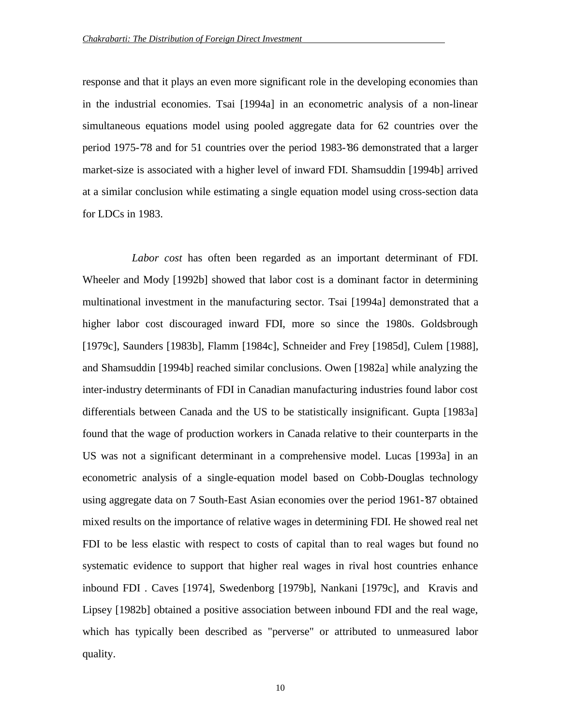response and that it plays an even more significant role in the developing economies than in the industrial economies. Tsai [1994a] in an econometric analysis of a non-linear simultaneous equations model using pooled aggregate data for 62 countries over the period 1975-'78 and for 51 countries over the period 1983-'86 demonstrated that a larger market-size is associated with a higher level of inward FDI. Shamsuddin [1994b] arrived at a similar conclusion while estimating a single equation model using cross-section data for LDCs in 1983.

*Labor cost* has often been regarded as an important determinant of FDI. Wheeler and Mody [1992b] showed that labor cost is a dominant factor in determining multinational investment in the manufacturing sector. Tsai [1994a] demonstrated that a higher labor cost discouraged inward FDI, more so since the 1980s. Goldsbrough [1979c], Saunders [1983b], Flamm [1984c], Schneider and Frey [1985d], Culem [1988], and Shamsuddin [1994b] reached similar conclusions. Owen [1982a] while analyzing the inter-industry determinants of FDI in Canadian manufacturing industries found labor cost differentials between Canada and the US to be statistically insignificant. Gupta [1983a] found that the wage of production workers in Canada relative to their counterparts in the US was not a significant determinant in a comprehensive model. Lucas [1993a] in an econometric analysis of a single-equation model based on Cobb-Douglas technology using aggregate data on 7 South-East Asian economies over the period 1961-'87 obtained mixed results on the importance of relative wages in determining FDI. He showed real net FDI to be less elastic with respect to costs of capital than to real wages but found no systematic evidence to support that higher real wages in rival host countries enhance inbound FDI . Caves [1974], Swedenborg [1979b], Nankani [1979c], and Kravis and Lipsey [1982b] obtained a positive association between inbound FDI and the real wage, which has typically been described as "perverse" or attributed to unmeasured labor quality.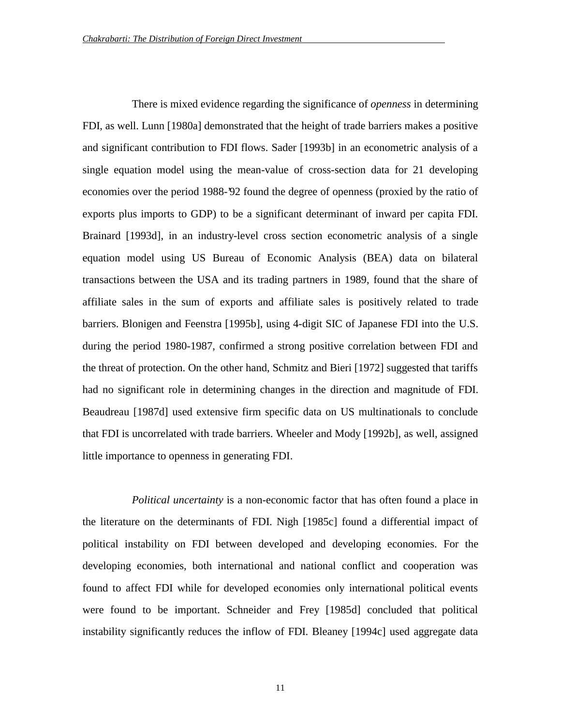There is mixed evidence regarding the significance of *openness* in determining FDI, as well. Lunn [1980a] demonstrated that the height of trade barriers makes a positive and significant contribution to FDI flows. Sader [1993b] in an econometric analysis of a single equation model using the mean-value of cross-section data for 21 developing economies over the period 1988-'92 found the degree of openness (proxied by the ratio of exports plus imports to GDP) to be a significant determinant of inward per capita FDI. Brainard [1993d], in an industry-level cross section econometric analysis of a single equation model using US Bureau of Economic Analysis (BEA) data on bilateral transactions between the USA and its trading partners in 1989, found that the share of affiliate sales in the sum of exports and affiliate sales is positively related to trade barriers. Blonigen and Feenstra [1995b], using 4-digit SIC of Japanese FDI into the U.S. during the period 1980-1987, confirmed a strong positive correlation between FDI and the threat of protection. On the other hand, Schmitz and Bieri [1972] suggested that tariffs had no significant role in determining changes in the direction and magnitude of FDI. Beaudreau [1987d] used extensive firm specific data on US multinationals to conclude that FDI is uncorrelated with trade barriers. Wheeler and Mody [1992b], as well, assigned little importance to openness in generating FDI.

*Political uncertainty* is a non-economic factor that has often found a place in the literature on the determinants of FDI. Nigh [1985c] found a differential impact of political instability on FDI between developed and developing economies. For the developing economies, both international and national conflict and cooperation was found to affect FDI while for developed economies only international political events were found to be important. Schneider and Frey [1985d] concluded that political instability significantly reduces the inflow of FDI. Bleaney [1994c] used aggregate data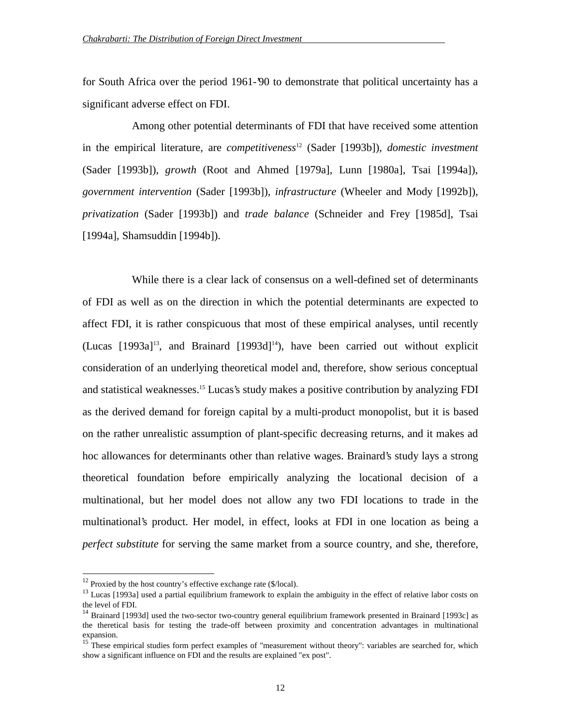for South Africa over the period 1961-'90 to demonstrate that political uncertainty has a significant adverse effect on FDI.

Among other potential determinants of FDI that have received some attention in the empirical literature, are *competitiveness*<sup>12</sup> (Sader [1993b]), *domestic investment* (Sader [1993b]), *growth* (Root and Ahmed [1979a], Lunn [1980a], Tsai [1994a]), *government intervention* (Sader [1993b]), *infrastructure* (Wheeler and Mody [1992b]), *privatization* (Sader [1993b]) and *trade balance* (Schneider and Frey [1985d], Tsai [1994a], Shamsuddin [1994b]).

While there is a clear lack of consensus on a well-defined set of determinants of FDI as well as on the direction in which the potential determinants are expected to affect FDI, it is rather conspicuous that most of these empirical analyses, until recently  $(Lucas [1993a]^{13}$ , and Brainard  $[1993d]^{14}$ ), have been carried out without explicit consideration of an underlying theoretical model and, therefore, show serious conceptual and statistical weaknesses.15 Lucas's study makes a positive contribution by analyzing FDI as the derived demand for foreign capital by a multi-product monopolist, but it is based on the rather unrealistic assumption of plant-specific decreasing returns, and it makes ad hoc allowances for determinants other than relative wages. Brainard's study lays a strong theoretical foundation before empirically analyzing the locational decision of a multinational, but her model does not allow any two FDI locations to trade in the multinational's product. Her model, in effect, looks at FDI in one location as being a *perfect substitute* for serving the same market from a source country, and she, therefore,

 $12$  Proxied by the host country's effective exchange rate (\$/local).

 $13$  Lucas [1993a] used a partial equilibrium framework to explain the ambiguity in the effect of relative labor costs on the level of FDI.

<sup>&</sup>lt;sup>14</sup> Brainard [1993d] used the two-sector two-country general equilibrium framework presented in Brainard [1993c] as the theretical basis for testing the trade-off between proximity and concentration advantages in multinational expansion.

<sup>&</sup>lt;sup>15</sup> These empirical studies form perfect examples of "measurement without theory": variables are searched for, which show a significant influence on FDI and the results are explained "ex post".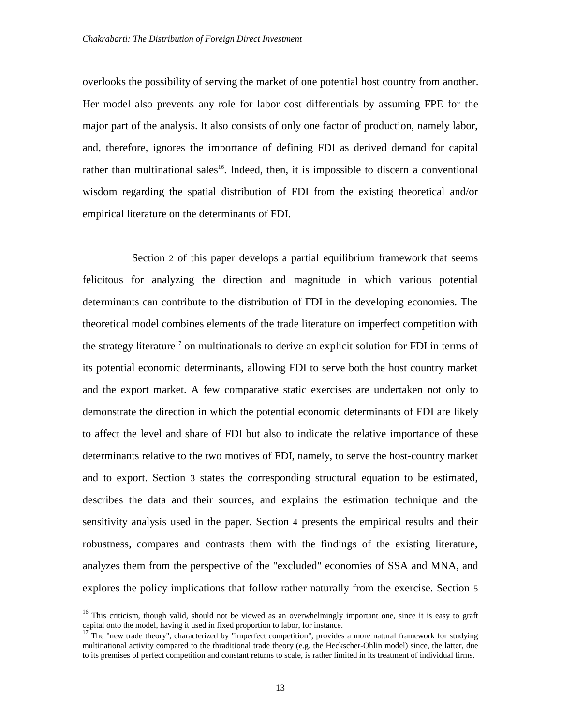overlooks the possibility of serving the market of one potential host country from another. Her model also prevents any role for labor cost differentials by assuming FPE for the major part of the analysis. It also consists of only one factor of production, namely labor, and, therefore, ignores the importance of defining FDI as derived demand for capital rather than multinational sales<sup>16</sup>. Indeed, then, it is impossible to discern a conventional wisdom regarding the spatial distribution of FDI from the existing theoretical and/or empirical literature on the determinants of FDI.

Section 2 of this paper develops a partial equilibrium framework that seems felicitous for analyzing the direction and magnitude in which various potential determinants can contribute to the distribution of FDI in the developing economies. The theoretical model combines elements of the trade literature on imperfect competition with the strategy literature<sup>17</sup> on multinationals to derive an explicit solution for FDI in terms of its potential economic determinants, allowing FDI to serve both the host country market and the export market. A few comparative static exercises are undertaken not only to demonstrate the direction in which the potential economic determinants of FDI are likely to affect the level and share of FDI but also to indicate the relative importance of these determinants relative to the two motives of FDI, namely, to serve the host-country market and to export. Section 3 states the corresponding structural equation to be estimated, describes the data and their sources, and explains the estimation technique and the sensitivity analysis used in the paper. Section 4 presents the empirical results and their robustness, compares and contrasts them with the findings of the existing literature, analyzes them from the perspective of the "excluded" economies of SSA and MNA, and explores the policy implications that follow rather naturally from the exercise. Section 5

<sup>&</sup>lt;sup>16</sup> This criticism, though valid, should not be viewed as an overwhelmingly important one, since it is easy to graft capital onto the model, having it used in fixed proportion to labor, for instance.

 $17$  The "new trade theory", characterized by "imperfect competition", provides a more natural framework for studying multinational activity compared to the thraditional trade theory (e.g. the Heckscher-Ohlin model) since, the latter, due to its premises of perfect competition and constant returns to scale, is rather limited in its treatment of individual firms.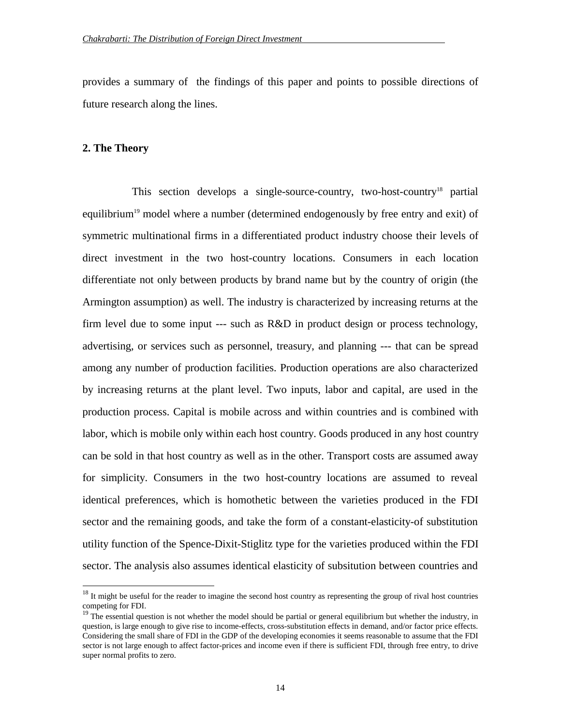provides a summary of the findings of this paper and points to possible directions of future research along the lines.

## **2. The Theory**

 $\overline{a}$ 

This section develops a single-source-country, two-host-country<sup>18</sup> partial equilibrium<sup>19</sup> model where a number (determined endogenously by free entry and exit) of symmetric multinational firms in a differentiated product industry choose their levels of direct investment in the two host-country locations. Consumers in each location differentiate not only between products by brand name but by the country of origin (the Armington assumption) as well. The industry is characterized by increasing returns at the firm level due to some input  $--$  such as  $R&D$  in product design or process technology, advertising, or services such as personnel, treasury, and planning --- that can be spread among any number of production facilities. Production operations are also characterized by increasing returns at the plant level. Two inputs, labor and capital, are used in the production process. Capital is mobile across and within countries and is combined with labor, which is mobile only within each host country. Goods produced in any host country can be sold in that host country as well as in the other. Transport costs are assumed away for simplicity. Consumers in the two host-country locations are assumed to reveal identical preferences, which is homothetic between the varieties produced in the FDI sector and the remaining goods, and take the form of a constant-elasticity-of substitution utility function of the Spence-Dixit-Stiglitz type for the varieties produced within the FDI sector. The analysis also assumes identical elasticity of subsitution between countries and

 $18$  It might be useful for the reader to imagine the second host country as representing the group of rival host countries competing for FDI.

 $19$  The essential question is not whether the model should be partial or general equilibrium but whether the industry, in question, is large enough to give rise to income-effects, cross-substitution effects in demand, and/or factor price effects. Considering the small share of FDI in the GDP of the developing economies it seems reasonable to assume that the FDI sector is not large enough to affect factor-prices and income even if there is sufficient FDI, through free entry, to drive super normal profits to zero.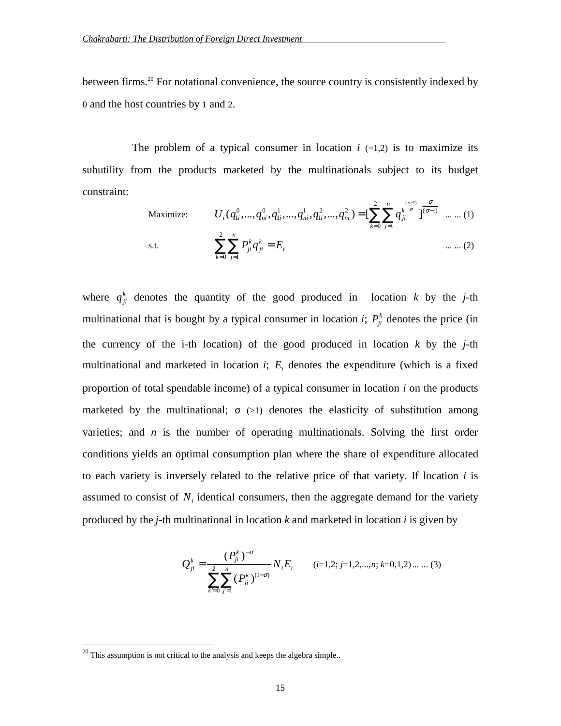between firms.<sup>20</sup> For notational convenience, the source country is consistently indexed by 0 and the host countries by 1 and 2.

The problem of a typical consumer in location  $i$  (=1,2) is to maximize its subutility from the products marketed by the multinationals subject to its budget constraint:

Maximize: 
$$
U_i(q_{1i}^0, ..., q_{ni}^0, q_{1i}^1, ..., q_{ni}^1, q_{1i}^2, ..., q_{ni}^2) = \left[\sum_{k=0}^2 \sum_{j=1}^n q_{ji}^{\frac{(\sigma-1)}{\sigma}}\right]^{\frac{\sigma}{(\sigma-1)}} \dots \dots (1)
$$
  
s.t.  $\sum_{k=0}^2 \sum_{j=1}^n P_{ji}^k q_{ji}^k = E_i$  ... ... (2)

where  $q_{ji}^k$  denotes the quantity of the good produced in location *k* by the *j*-th multinational that is bought by a typical consumer in location *i*;  $P_{ji}^{k}$  denotes the price (in the currency of the i-th location) of the good produced in location *k* by the *j*-th multinational and marketed in location  $i$ ;  $E<sub>i</sub>$  denotes the expenditure (which is a fixed proportion of total spendable income) of a typical consumer in location *i* on the products marketed by the multinational;  $\sigma$  (>1) denotes the elasticity of substitution among varieties; and *n* is the number of operating multinationals. Solving the first order conditions yields an optimal consumption plan where the share of expenditure allocated to each variety is inversely related to the relative price of that variety. If location *i* is assumed to consist of  $N_i$  identical consumers, then the aggregate demand for the variety produced by the *j*-th multinational in location *k* and marketed in location *i* is given by

$$
Q_{ji}^{k} = \frac{(P_{ji}^{k})^{-\sigma}}{\sum_{k=0}^{2} \sum_{j=1}^{n} (P_{ji}^{k})^{(1-\sigma)}} N_{i} E_{i} \qquad (i=1,2; j=1,2,...,n; k=0,1,2) ... ... (3)
$$

 $20$  This assumption is not critical to the analysis and keeps the algebra simple..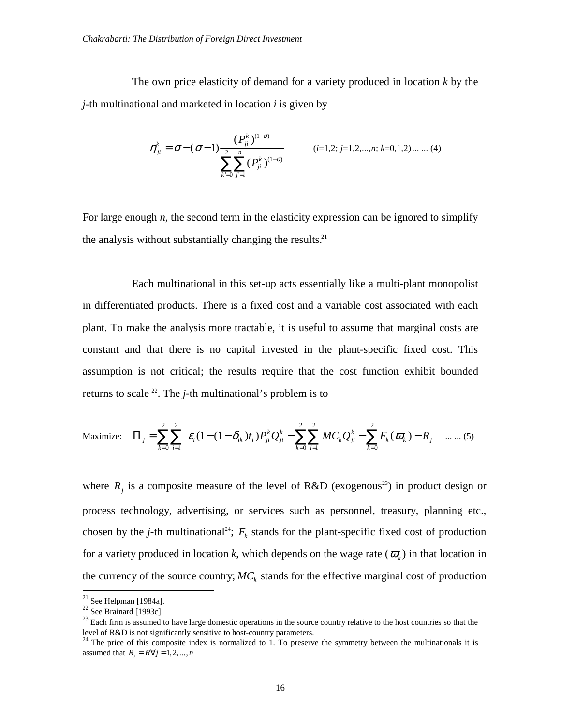The own price elasticity of demand for a variety produced in location *k* by the *j*-th multinational and marketed in location *i* is given by

$$
\eta_{ji}^{k} = \sigma - (\sigma - 1) \frac{(P_{ji}^{k})^{(1-\sigma)}}{\sum_{k=0}^{2} \sum_{j=1}^{n} (P_{ji}^{k})^{(1-\sigma)}}
$$
 (*i*=1,2; *j*=1,2,...,*n*; *k*=0,1,2).... (4)

For large enough *n*, the second term in the elasticity expression can be ignored to simplify the analysis without substantially changing the results.<sup>21</sup>

Each multinational in this set-up acts essentially like a multi-plant monopolist in differentiated products. There is a fixed cost and a variable cost associated with each plant. To make the analysis more tractable, it is useful to assume that marginal costs are constant and that there is no capital invested in the plant-specific fixed cost. This assumption is not critical; the results require that the cost function exhibit bounded returns to scale  $^{22}$ . The *j*-th multinational's problem is to

Maximize: 
$$
\Pi_j = \sum_{k=0}^2 \sum_{i=1}^2 \varepsilon_i (1 - (1 - \delta_{ik}) t_i) P_{ji}^k Q_{ji}^k - \sum_{k=0}^2 \sum_{i=1}^2 M C_k Q_{ji}^k - \sum_{k=0}^2 F_k (\varpi_k) - R_j
$$
 .... (5)

where  $R_i$  is a composite measure of the level of R&D (exogenous<sup>23</sup>) in product design or process technology, advertising, or services such as personnel, treasury, planning etc., chosen by the *j*-th multinational<sup>24</sup>;  $F_k$  stands for the plant-specific fixed cost of production for a variety produced in location k, which depends on the wage rate  $(\varpi_k)$  in that location in the currency of the source country;  $MC_k$  stands for the effective marginal cost of production

 $^{21}$  See Helpman [1984a].

 $22$  See Brainard [1993c].

 $23$  Each firm is assumed to have large domestic operations in the source country relative to the host countries so that the level of R&D is not significantly sensitive to host-country parameters.

 $24$  The price of this composite index is normalized to 1. To preserve the symmetry between the multinationals it is assumed that  $R = R \forall j = 1, 2, ..., n$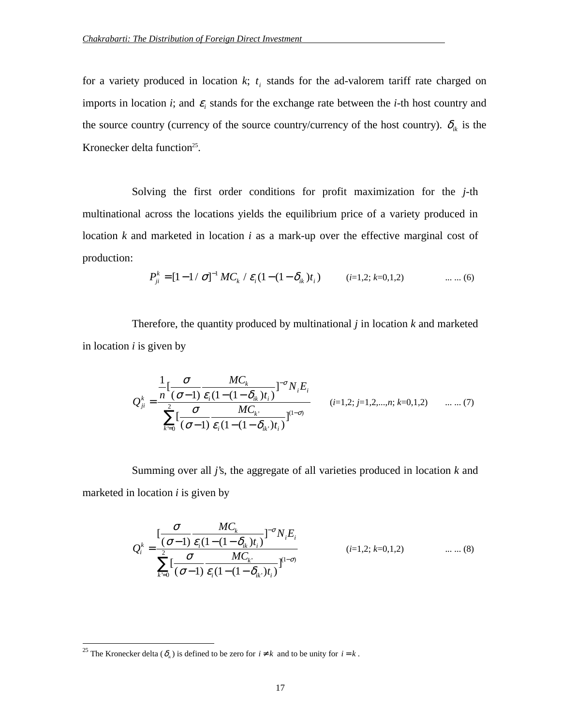for a variety produced in location  $k$ ;  $t_i$  stands for the ad-valorem tariff rate charged on imports in location *i*; and  $\varepsilon$  stands for the exchange rate between the *i*-th host country and the source country (currency of the source country/currency of the host country).  $\delta_{ik}$  is the Kronecker delta function<sup>25</sup>.

Solving the first order conditions for profit maximization for the *j*-th multinational across the locations yields the equilibrium price of a variety produced in location *k* and marketed in location *i* as a mark-up over the effective marginal cost of production:

$$
P_{ji}^{k} = [1 - 1/\sigma]^{-1} MC_k / \varepsilon_i (1 - (1 - \delta_{ik})t_i)
$$
 (*i*=1,2; *k*=0,1,2) ... ... (6)

Therefore, the quantity produced by multinational *j* in location *k* and marketed in location *i* is given by

$$
Q_{ji}^{k} = \frac{\frac{1}{n} \left[ \frac{\sigma}{(\sigma - 1)} \frac{MC_{k}}{\varepsilon_{i} (1 - (1 - \delta_{ik}) t_{i})} \right]^{-\sigma} N_{i} E_{i}}{\sum_{k=0}^{2} \left[ \frac{\sigma}{(\sigma - 1)} \frac{MC_{k}}{\varepsilon_{i} (1 - (1 - \delta_{ik}) t_{i})} \right]^{(1 - \sigma)}} \qquad (i = 1, 2; j = 1, 2, \dots, n; k = 0, 1, 2) \qquad \dots \dots (7)
$$

Summing over all *j*'s, the aggregate of all varieties produced in location *k* and marketed in location *i* is given by

$$
Q_i^k = \frac{\left[\frac{\sigma}{(\sigma-1)} \frac{MC_k}{\varepsilon_i (1 - (1 - \delta_{ik}) t_i)}\right]^{-\sigma} N_i E_i}{\sum_{k=0}^2 \left[\frac{\sigma}{(\sigma-1)} \frac{MC_k}{\varepsilon_i (1 - (1 - \delta_{ik}) t_i)}\right]^{(1 - \sigma)}}
$$
 (i=1,2; k=0,1,2) .......(8)

<sup>&</sup>lt;sup>25</sup> The Kronecker delta ( $\delta_{ik}$ ) is defined to be zero for  $i \neq k$  and to be unity for  $i = k$ .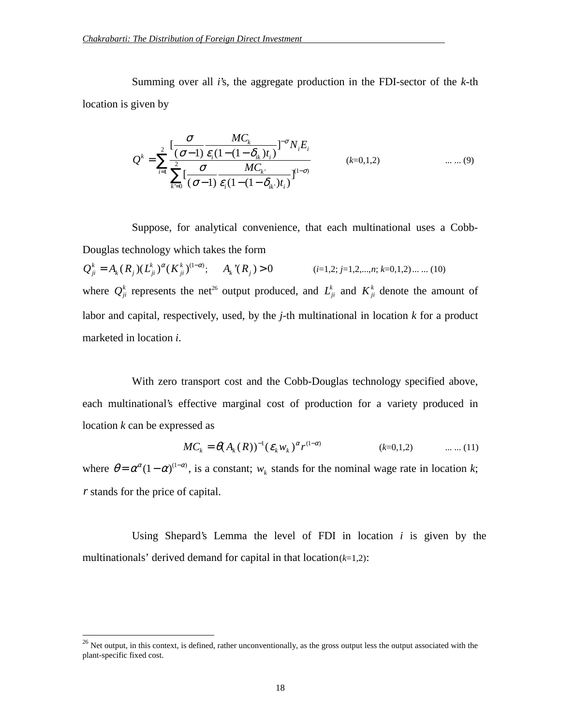Summing over all *i*'s, the aggregate production in the FDI-sector of the *k*-th location is given by

$$
Q^{k} = \sum_{i=1}^{2} \frac{\left[\frac{\sigma}{(\sigma-1)}\frac{MC_{k}}{\varepsilon_{i}(1-(1-\delta_{ik})t_{i})}\right]^{-\sigma}N_{i}E_{i}}{\sum_{k=0}^{2}\left[\frac{\sigma}{(\sigma-1)}\frac{MC_{k}}{\varepsilon_{i}(1-(1-\delta_{ik})t_{i})}\right]^{(1-\sigma)}}
$$
 (k=0,1,2) .......(9)

Suppose, for analytical convenience, that each multinational uses a Cobb-Douglas technology which takes the form

 $Q_{ji}^k = A_k (R_j) (L_{ji}^k)^{\alpha} (K_j)$  $_{k}$   $\left\langle \bm{\Lambda}_{j}\right\rangle$   $\left\langle \bm{\nu}_{ji}\right\rangle$ *k*  $= A_k (R_j) (L_{ji}^k)^\alpha (K_{ji}^k)^{(1-\alpha)}$ ; *A R k j* '( ) > 0 (*i*=1,2; *j*=1,2,...,*n*; *k*=0,1,2)... ... (10) where  $Q_{ji}^k$  represents the net<sup>26</sup> output produced, and  $L_{ji}^k$  and  $K_{ji}^k$  denote the amount of labor and capital, respectively, used, by the *j*-th multinational in location *k* for a product marketed in location *i*.

With zero transport cost and the Cobb-Douglas technology specified above, each multinational's effective marginal cost of production for a variety produced in location *k* can be expressed as

$$
MC_k = \theta(A_k(R))^{-1} (\varepsilon_k w_k)^{\alpha} r^{(1-\alpha)}
$$
 (k=0,1,2) ....... (11)

where  $\theta = \alpha^{\alpha} (1 - \alpha)^{(1 - \alpha)}$ , is a constant;  $w_k$  stands for the nominal wage rate in location *k*; *r* stands for the price of capital.

Using Shepard's Lemma the level of FDI in location *i* is given by the multinationals' derived demand for capital in that  $location(k=1,2)$ :

 $26$  Net output, in this context, is defined, rather unconventionally, as the gross output less the output associated with the plant-specific fixed cost.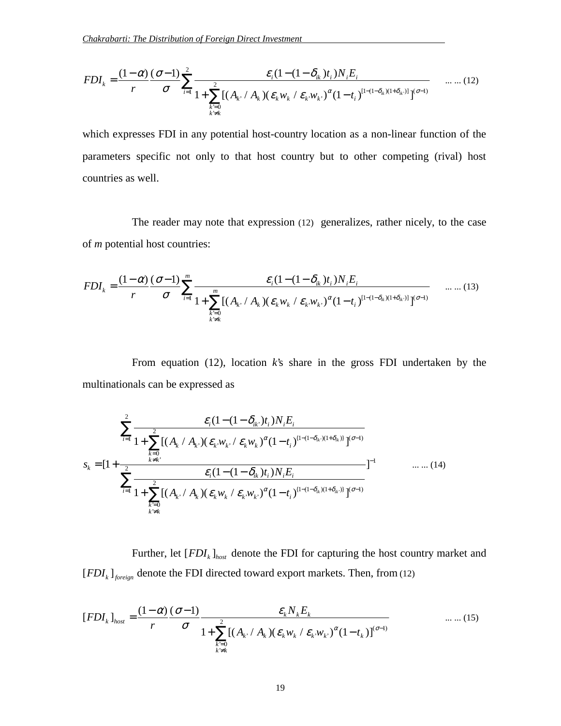$$
FDI_{k} = \frac{(1-\alpha)}{r} \frac{(\sigma-1)}{\sigma} \sum_{i=1}^{2} \frac{\varepsilon_{i}(1-(1-\delta_{ik})t_{i})N_{i}E_{i}}{1+\sum_{\substack{k=0 \ k \neq k}}^{2} [(A_{k} / A_{k})(\varepsilon_{k}w_{k} / \varepsilon_{k}w_{k})^{\alpha}(1-t_{i})^{[1-(1-\delta_{ik})(1+\delta_{ik})]} ]^{(\sigma-1)}} \qquad .... (12)
$$

which expresses FDI in any potential host-country location as a non-linear function of the parameters specific not only to that host country but to other competing (rival) host countries as well.

The reader may note that expression (12) generalizes, rather nicely, to the case of *m* potential host countries:

$$
FDI_{k} = \frac{(1-\alpha)}{r} \frac{(\sigma-1)}{\sigma} \sum_{i=1}^{m} \frac{\varepsilon_{i} (1-(1-\delta_{ik})t_{i}) N_{i} E_{i}}{1 + \sum_{\substack{k=0 \ k \neq k}}^{m} [(A_{k} / A_{k}) (\varepsilon_{k} w_{k} / \varepsilon_{k} w_{k})^{\alpha} (1-t_{i})^{[1-(1-\delta_{ik})(1+\delta_{ik})]} ]^{(\sigma-1)}} \qquad .......(13)
$$

From equation (12), location *k*'s share in the gross FDI undertaken by the multinationals can be expressed as

$$
\sum_{i=1}^{2} \frac{\mathcal{E}_{i}(1-(1-\delta_{ik})t_{i})N_{i}E_{i}}{1+\sum_{k=0}^{2}[(A_{k} / A_{k}) (\mathcal{E}_{k}w_{k} / \mathcal{E}_{k}w_{k})^{\alpha}(1-t_{i})^{(1-(1-\delta_{ik})(1+\delta_{ik}))}]^{(\sigma-1)}}
$$
  

$$
s_{k} = [1+\frac{\sum_{k=0}^{2}[(A_{k} / A_{k}) (\mathcal{E}_{k}w_{k} / \mathcal{E}_{k}w_{k})^{\alpha}(1-t_{i})^{(1-(1-\delta_{ik})(1+\delta_{ik}))}]^{(\sigma-1)}}
$$

$$
\sum_{i=1}^{2} \frac{\mathcal{E}_{i}(1-(1-\delta_{ik})t_{i})N_{i}E_{i}}{1+\sum_{\substack{k=0 \ k \neq k}}^{2}[(A_{k} / A_{k}) (\mathcal{E}_{k}w_{k} / \mathcal{E}_{k}w_{k})^{\alpha}(1-t_{i})^{(1-(1-\delta_{ik})(1+\delta_{ik}))}]^{(\sigma-1)}}
$$

Further, let  $[FDI_k]_{host}$  denote the FDI for capturing the host country market and  $[FDI_k]_{\text{foreign}}$  denote the FDI directed toward export markets. Then, from (12)

$$
[FDI_k]_{\text{host}} = \frac{(1-\alpha)}{r} \frac{(\sigma-1)}{\sigma} \frac{\varepsilon_k N_k E_k}{1 + \sum_{\substack{k=0 \ k \neq k}}^{2} [(A_k / A_k) (\varepsilon_k w_k / \varepsilon_k w_k)^{\alpha} (1-t_k)]^{(\sigma-1)}} \qquad \dots \dots (15)
$$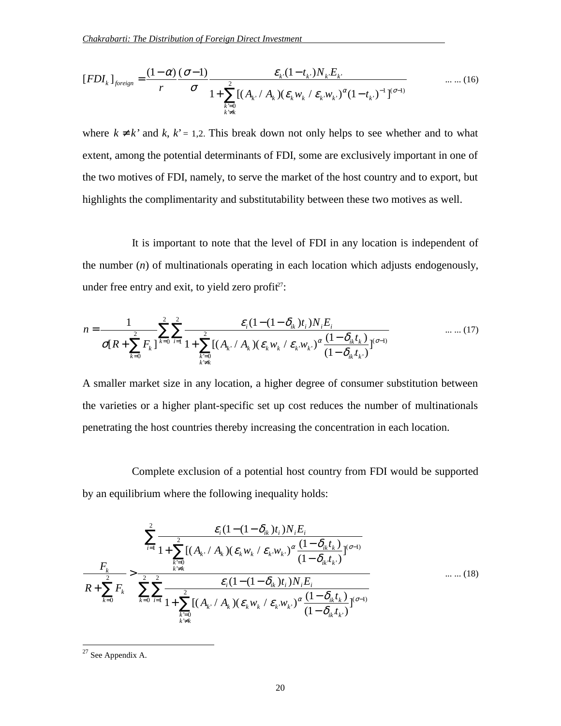$$
[FDI_k]_{\text{foreign}} = \frac{(1-\alpha)}{r} \frac{(\sigma-1)}{\sigma} \frac{\varepsilon_k (1-t_k) N_k E_k}{1 + \sum_{\substack{k=0 \ k \neq k}}^2 [(A_k / A_k) (\varepsilon_k w_k / \varepsilon_k w_k)^{\alpha} (1-t_k)^{-1}]^{(\sigma-1)}} \qquad \dots \dots (16)
$$

where  $k \neq k'$  and  $k, k' = 1,2$ . This break down not only helps to see whether and to what extent, among the potential determinants of FDI, some are exclusively important in one of the two motives of FDI, namely, to serve the market of the host country and to export, but highlights the complimentarity and substitutability between these two motives as well.

It is important to note that the level of FDI in any location is independent of the number (*n*) of multinationals operating in each location which adjusts endogenously, under free entry and exit, to yield zero profit<sup> $27$ </sup>:

$$
n = \frac{1}{\sigma[R + \sum_{k=0}^{2} F_k]} \sum_{i=0}^{2} \sum_{i=1}^{2} \frac{\varepsilon_i (1 - (1 - \delta_{ik}) t_i) N_i E_i}{1 + \sum_{\substack{k=0 \ k \neq k}}^{2} [(A_k / A_k) (\varepsilon_k w_k / \varepsilon_k w_k)^{\alpha} \frac{(1 - \delta_{ik} t_k)}{(1 - \delta_{ik} t_k)}]^{(\sigma-1)}} \qquad \dots \dots (17)
$$

A smaller market size in any location, a higher degree of consumer substitution between the varieties or a higher plant-specific set up cost reduces the number of multinationals penetrating the host countries thereby increasing the concentration in each location.

Complete exclusion of a potential host country from FDI would be supported by an equilibrium where the following inequality holds:

$$
\frac{\sum_{i=1}^{2} \frac{\mathcal{E}_{i}(1-(1-\delta_{ik})t_{i})N_{i}E_{i}}{1+\sum_{k=0}^{2}[(A_{k} \cdot A_{k})(\varepsilon_{k}w_{k} / \varepsilon_{k}w_{k})^{\alpha}\frac{(1-\delta_{ik}t_{k})}{(1-\delta_{ik}t_{k})}]^{(\sigma-1)}}}{R+\sum_{k=0}^{2} F_{k}} > \frac{\sum_{k=0}^{2} \sum_{i=1}^{2} \frac{\mathcal{E}_{i}(1-(1-\delta_{ik})t_{i})N_{i}E_{i}}{(1-\delta_{ik}t_{k})}}{1+\sum_{k=0}^{2}[(A_{k} \cdot A_{k})(\varepsilon_{k}w_{k} / \varepsilon_{k}w_{k})^{\alpha}\frac{(1-\delta_{ik}t_{k})}{(1-\delta_{ik}t_{k})}]^{(\sigma-1)}}}
$$
 .... (18)

 $27$  See Appendix A.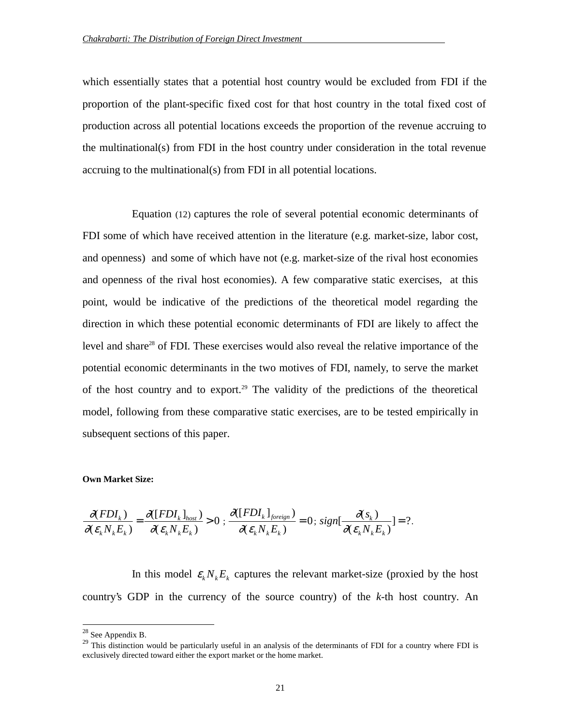which essentially states that a potential host country would be excluded from FDI if the proportion of the plant-specific fixed cost for that host country in the total fixed cost of production across all potential locations exceeds the proportion of the revenue accruing to the multinational(s) from FDI in the host country under consideration in the total revenue accruing to the multinational(s) from FDI in all potential locations.

Equation (12) captures the role of several potential economic determinants of FDI some of which have received attention in the literature (e.g. market-size, labor cost, and openness) and some of which have not (e.g. market-size of the rival host economies and openness of the rival host economies). A few comparative static exercises, at this point, would be indicative of the predictions of the theoretical model regarding the direction in which these potential economic determinants of FDI are likely to affect the level and share<sup>28</sup> of FDI. These exercises would also reveal the relative importance of the potential economic determinants in the two motives of FDI, namely, to serve the market of the host country and to export.<sup>29</sup> The validity of the predictions of the theoretical model, following from these comparative static exercises, are to be tested empirically in subsequent sections of this paper.

#### **Own Market Size:**

$$
\frac{\partial(FDI_k)}{\partial(\varepsilon_k N_k E_k)} = \frac{\partial(FDI_k]_{\text{host}}}{\partial(\varepsilon_k N_k E_k)} > 0; \frac{\partial(FDI_k]_{\text{foreign}}}{\partial(\varepsilon_k N_k E_k)} = 0; sign[\frac{\partial(s_k)}{\partial(\varepsilon_k N_k E_k)}] = ?.
$$

In this model  $\varepsilon_k N_k E_k$  captures the relevant market-size (proxied by the host country's GDP in the currency of the source country) of the *k*-th host country. An

 $^{28}$  See Appendix B.

<sup>&</sup>lt;sup>29</sup> This distinction would be particularly useful in an analysis of the determinants of FDI for a country where FDI is exclusively directed toward either the export market or the home market.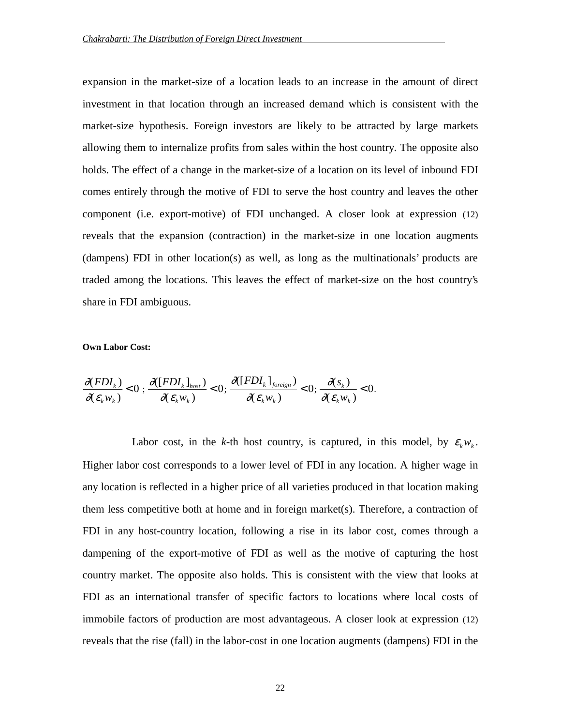expansion in the market-size of a location leads to an increase in the amount of direct investment in that location through an increased demand which is consistent with the market-size hypothesis. Foreign investors are likely to be attracted by large markets allowing them to internalize profits from sales within the host country. The opposite also holds. The effect of a change in the market-size of a location on its level of inbound FDI comes entirely through the motive of FDI to serve the host country and leaves the other component (i.e. export-motive) of FDI unchanged. A closer look at expression (12) reveals that the expansion (contraction) in the market-size in one location augments (dampens) FDI in other location(s) as well, as long as the multinationals' products are traded among the locations. This leaves the effect of market-size on the host country's share in FDI ambiguous.

## **Own Labor Cost:**

$$
\frac{\partial(FDI_k)}{\partial(\varepsilon_k w_k)} < 0; \frac{\partial(FDI_k]_{host}}{\partial(\varepsilon_k w_k)} < 0; \frac{\partial(FDI_k]_{foreign}}{\partial(\varepsilon_k w_k)} < 0; \frac{\partial(s_k)}{\partial(\varepsilon_k w_k)} < 0.
$$

Labor cost, in the *k*-th host country, is captured, in this model, by  $\varepsilon_k w_k$ . Higher labor cost corresponds to a lower level of FDI in any location. A higher wage in any location is reflected in a higher price of all varieties produced in that location making them less competitive both at home and in foreign market(s). Therefore, a contraction of FDI in any host-country location, following a rise in its labor cost, comes through a dampening of the export-motive of FDI as well as the motive of capturing the host country market. The opposite also holds. This is consistent with the view that looks at FDI as an international transfer of specific factors to locations where local costs of immobile factors of production are most advantageous. A closer look at expression (12) reveals that the rise (fall) in the labor-cost in one location augments (dampens) FDI in the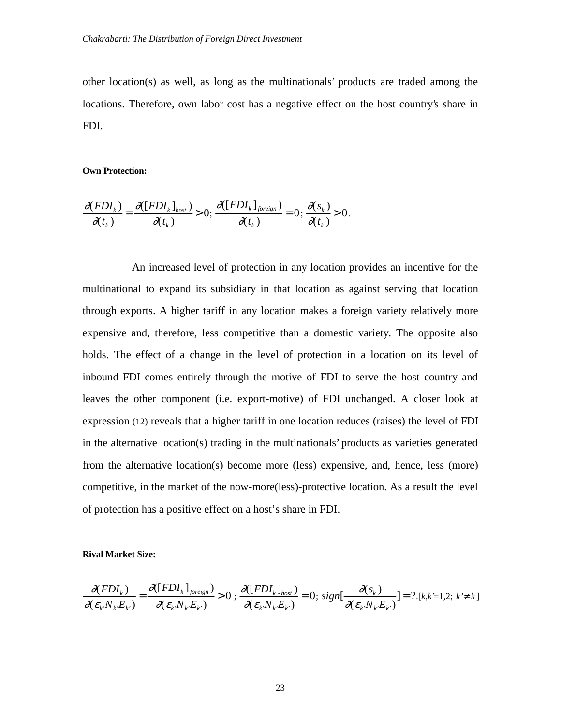other location(s) as well, as long as the multinationals' products are traded among the locations. Therefore, own labor cost has a negative effect on the host country's share in FDI.

#### **Own Protection:**

$$
\frac{\partial(FDI_k)}{\partial(t_k)} = \frac{\partial(FDI_k|_{host})}{\partial(t_k)} > 0; \frac{\partial(FDI_k|_{foreign})}{\partial(t_k)} = 0; \frac{\partial(s_k)}{\partial(t_k)} > 0.
$$

An increased level of protection in any location provides an incentive for the multinational to expand its subsidiary in that location as against serving that location through exports. A higher tariff in any location makes a foreign variety relatively more expensive and, therefore, less competitive than a domestic variety. The opposite also holds. The effect of a change in the level of protection in a location on its level of inbound FDI comes entirely through the motive of FDI to serve the host country and leaves the other component (i.e. export-motive) of FDI unchanged. A closer look at expression (12) reveals that a higher tariff in one location reduces (raises) the level of FDI in the alternative location(s) trading in the multinationals' products as varieties generated from the alternative location(s) become more (less) expensive, and, hence, less (more) competitive, in the market of the now-more(less)-protective location. As a result the level of protection has a positive effect on a host's share in FDI.

#### **Rival Market Size:**

$$
\frac{\partial(FDI_k)}{\partial(\varepsilon_k N_k E_k)} = \frac{\partial(FDI_k)_{\text{foreign}}}{\partial(\varepsilon_k N_k E_k)} > 0; \frac{\partial(FDI_k)_{\text{host}}}{\partial(\varepsilon_k N_k E_k)} = 0; sign[\frac{\partial(s_k)}{\partial(\varepsilon_k N_k E_k)}] = ?, [k, k=1, 2; k \neq k]
$$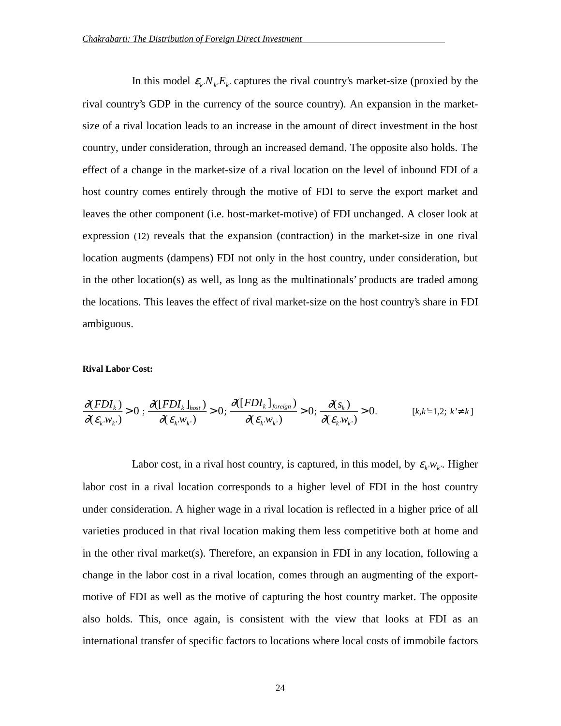In this model  $\varepsilon_k N_k E_k$  captures the rival country's market-size (proxied by the rival country's GDP in the currency of the source country). An expansion in the marketsize of a rival location leads to an increase in the amount of direct investment in the host country, under consideration, through an increased demand. The opposite also holds. The effect of a change in the market-size of a rival location on the level of inbound FDI of a host country comes entirely through the motive of FDI to serve the export market and leaves the other component (i.e. host-market-motive) of FDI unchanged. A closer look at expression (12) reveals that the expansion (contraction) in the market-size in one rival location augments (dampens) FDI not only in the host country, under consideration, but in the other location(s) as well, as long as the multinationals' products are traded among the locations. This leaves the effect of rival market-size on the host country's share in FDI ambiguous.

#### **Rival Labor Cost:**

$$
\frac{\partial(FDI_k)}{\partial(\varepsilon_k w_{k\cdot}}) > 0; \frac{\partial(FDI_k]_{host}}{\partial(\varepsilon_k w_{k\cdot}}) > 0; \frac{\partial(FDI_k]_{foreign}}{\partial(\varepsilon_k w_{k\cdot}}) > 0; \frac{\partial(s_k)}{\partial(\varepsilon_k w_{k\cdot}}) > 0.
$$
 [k,k=1,2; k<sup>\*</sup> k]

Labor cost, in a rival host country, is captured, in this model, by  $\varepsilon_k w_k$ . Higher labor cost in a rival location corresponds to a higher level of FDI in the host country under consideration. A higher wage in a rival location is reflected in a higher price of all varieties produced in that rival location making them less competitive both at home and in the other rival market(s). Therefore, an expansion in FDI in any location, following a change in the labor cost in a rival location, comes through an augmenting of the exportmotive of FDI as well as the motive of capturing the host country market. The opposite also holds. This, once again, is consistent with the view that looks at FDI as an international transfer of specific factors to locations where local costs of immobile factors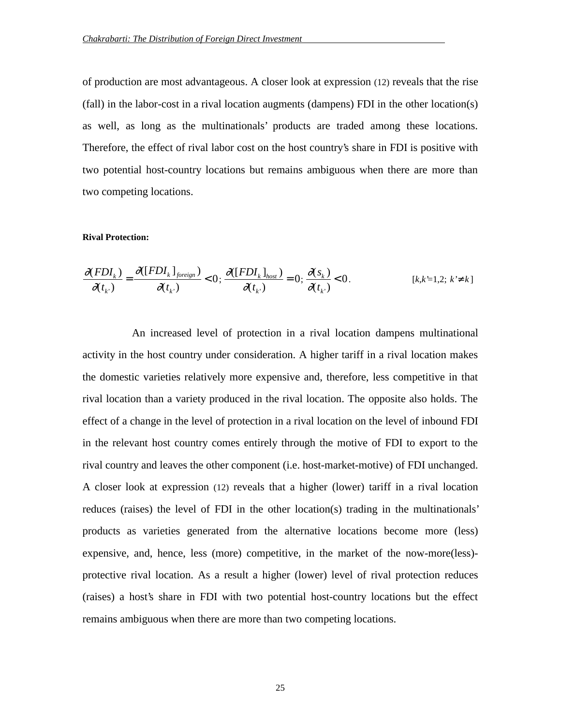of production are most advantageous. A closer look at expression (12) reveals that the rise (fall) in the labor-cost in a rival location augments (dampens) FDI in the other location(s) as well, as long as the multinationals' products are traded among these locations. Therefore, the effect of rival labor cost on the host country's share in FDI is positive with two potential host-country locations but remains ambiguous when there are more than two competing locations.

#### **Rival Protection:**

$$
\frac{\partial (FDI_k)}{\partial (t_k)} = \frac{\partial ([FDI_k]_{\text{foreign}})}{\partial (t_k)} < 0; \frac{\partial ([FDI_k]_{\text{host}})}{\partial (t_k)} = 0; \frac{\partial (s_k)}{\partial (t_k)} < 0.
$$
 [k, k'=1, 2; k' \neq k]

An increased level of protection in a rival location dampens multinational activity in the host country under consideration. A higher tariff in a rival location makes the domestic varieties relatively more expensive and, therefore, less competitive in that rival location than a variety produced in the rival location. The opposite also holds. The effect of a change in the level of protection in a rival location on the level of inbound FDI in the relevant host country comes entirely through the motive of FDI to export to the rival country and leaves the other component (i.e. host-market-motive) of FDI unchanged. A closer look at expression (12) reveals that a higher (lower) tariff in a rival location reduces (raises) the level of FDI in the other location(s) trading in the multinationals' products as varieties generated from the alternative locations become more (less) expensive, and, hence, less (more) competitive, in the market of the now-more(less) protective rival location. As a result a higher (lower) level of rival protection reduces (raises) a host's share in FDI with two potential host-country locations but the effect remains ambiguous when there are more than two competing locations.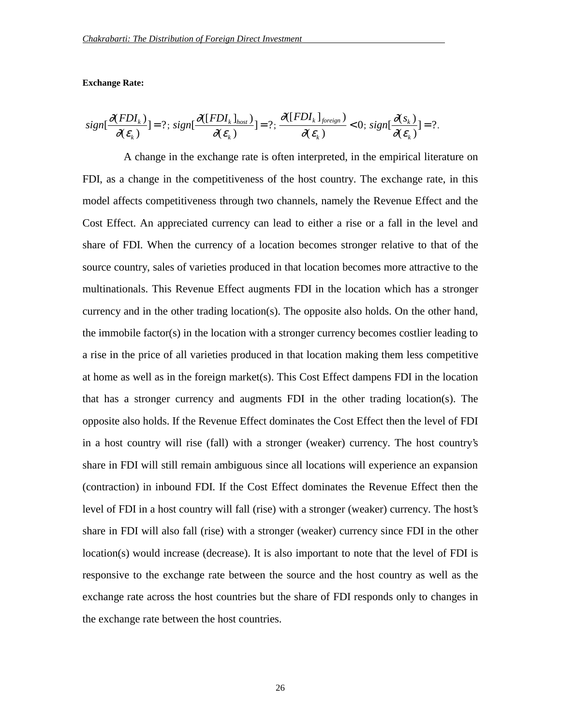#### **Exchange Rate:**

$$
sign[\frac{\partial(FDI_{k})}{\partial(\varepsilon_{k}}] = ?; sign[\frac{\partial(FDI_{k}]_{host}}{\partial(\varepsilon_{k})}] = ?; \frac{\partial(FDI_{k}]_{foreign}}{\partial(\varepsilon_{k})} < 0; sign[\frac{\partial(s_{k})}{\partial(\varepsilon_{k})}] = ?.
$$

A change in the exchange rate is often interpreted, in the empirical literature on FDI, as a change in the competitiveness of the host country. The exchange rate, in this model affects competitiveness through two channels, namely the Revenue Effect and the Cost Effect. An appreciated currency can lead to either a rise or a fall in the level and share of FDI. When the currency of a location becomes stronger relative to that of the source country, sales of varieties produced in that location becomes more attractive to the multinationals. This Revenue Effect augments FDI in the location which has a stronger currency and in the other trading location(s). The opposite also holds. On the other hand, the immobile factor(s) in the location with a stronger currency becomes costlier leading to a rise in the price of all varieties produced in that location making them less competitive at home as well as in the foreign market(s). This Cost Effect dampens FDI in the location that has a stronger currency and augments FDI in the other trading location(s). The opposite also holds. If the Revenue Effect dominates the Cost Effect then the level of FDI in a host country will rise (fall) with a stronger (weaker) currency. The host country's share in FDI will still remain ambiguous since all locations will experience an expansion (contraction) in inbound FDI. If the Cost Effect dominates the Revenue Effect then the level of FDI in a host country will fall (rise) with a stronger (weaker) currency. The host's share in FDI will also fall (rise) with a stronger (weaker) currency since FDI in the other location(s) would increase (decrease). It is also important to note that the level of FDI is responsive to the exchange rate between the source and the host country as well as the exchange rate across the host countries but the share of FDI responds only to changes in the exchange rate between the host countries.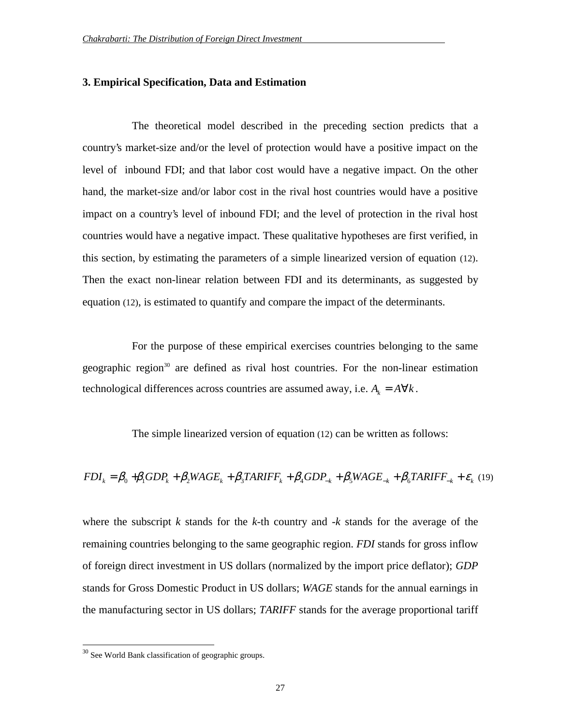## **3. Empirical Specification, Data and Estimation**

The theoretical model described in the preceding section predicts that a country's market-size and/or the level of protection would have a positive impact on the level of inbound FDI; and that labor cost would have a negative impact. On the other hand, the market-size and/or labor cost in the rival host countries would have a positive impact on a country's level of inbound FDI; and the level of protection in the rival host countries would have a negative impact. These qualitative hypotheses are first verified, in this section, by estimating the parameters of a simple linearized version of equation (12). Then the exact non-linear relation between FDI and its determinants, as suggested by equation (12), is estimated to quantify and compare the impact of the determinants.

For the purpose of these empirical exercises countries belonging to the same geographic region<sup>30</sup> are defined as rival host countries. For the non-linear estimation technological differences across countries are assumed away, i.e.  $A_k = A \forall k$ .

The simple linearized version of equation (12) can be written as follows:

$$
FDI_k = \beta_0 + \beta_1 GDP_k + \beta_2 WAGE_k + \beta_3 TARIFF_k + \beta_4 GDP_{-k} + \beta_5 WAGE_{-k} + \beta_6 TARIFF_{-k} + \varepsilon_k \tag{19}
$$

where the subscript *k* stands for the *k*-th country and -*k* stands for the average of the remaining countries belonging to the same geographic region. *FDI* stands for gross inflow of foreign direct investment in US dollars (normalized by the import price deflator); *GDP* stands for Gross Domestic Product in US dollars; *WAGE* stands for the annual earnings in the manufacturing sector in US dollars; *TARIFF* stands for the average proportional tariff

<sup>&</sup>lt;sup>30</sup> See World Bank classification of geographic groups.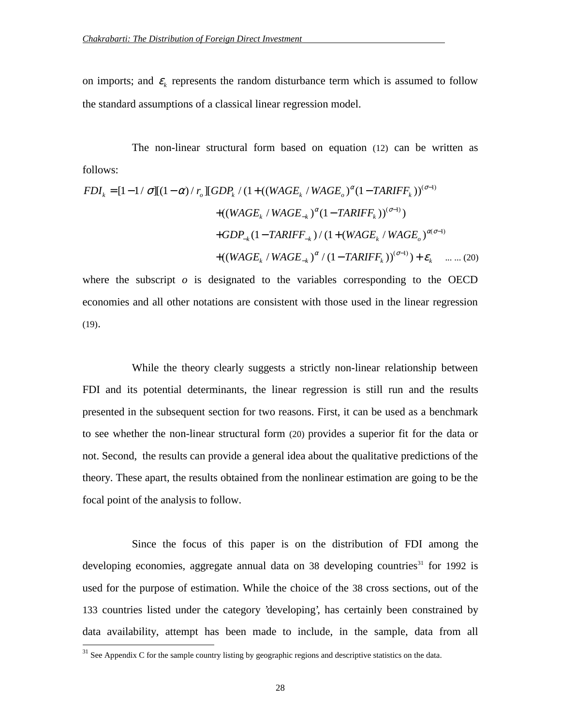on imports; and  $\varepsilon_k$  represents the random disturbance term which is assumed to follow the standard assumptions of a classical linear regression model.

The non-linear structural form based on equation (12) can be written as follows:

$$
FDI_{k} = [1 - 1/\sigma][(1 - \alpha)/r_{o}][GDP_{k}/(1 + ((WAGE_{k}/WAGE_{o})^{\alpha}(1 - TARIFF_{k}))^{(\sigma-1)} + ((WAGE_{k}/WAGE_{-k})^{\alpha}(1 - TARIFF_{k}))^{(\sigma-1)}) + GDP_{-k}(1 - TARIFF_{-k})/(1 + (WAGE_{k}/WAGE_{o})^{\alpha(\sigma-1)} + ((WAGE_{k}/WAGE_{-k})^{\alpha}/(1 - TARIFF_{k}))^{(\sigma-1)}) + \varepsilon_{k} \quad .... (20)
$$

where the subscript  $\rho$  is designated to the variables corresponding to the OECD economies and all other notations are consistent with those used in the linear regression (19).

While the theory clearly suggests a strictly non-linear relationship between FDI and its potential determinants, the linear regression is still run and the results presented in the subsequent section for two reasons. First, it can be used as a benchmark to see whether the non-linear structural form (20) provides a superior fit for the data or not. Second, the results can provide a general idea about the qualitative predictions of the theory. These apart, the results obtained from the nonlinear estimation are going to be the focal point of the analysis to follow.

Since the focus of this paper is on the distribution of FDI among the developing economies, aggregate annual data on 38 developing countries<sup>31</sup> for 1992 is used for the purpose of estimation. While the choice of the 38 cross sections, out of the 133 countries listed under the category 'developing', has certainly been constrained by data availability, attempt has been made to include, in the sample, data from all

<sup>&</sup>lt;sup>31</sup> See Appendix C for the sample country listing by geographic regions and descriptive statistics on the data.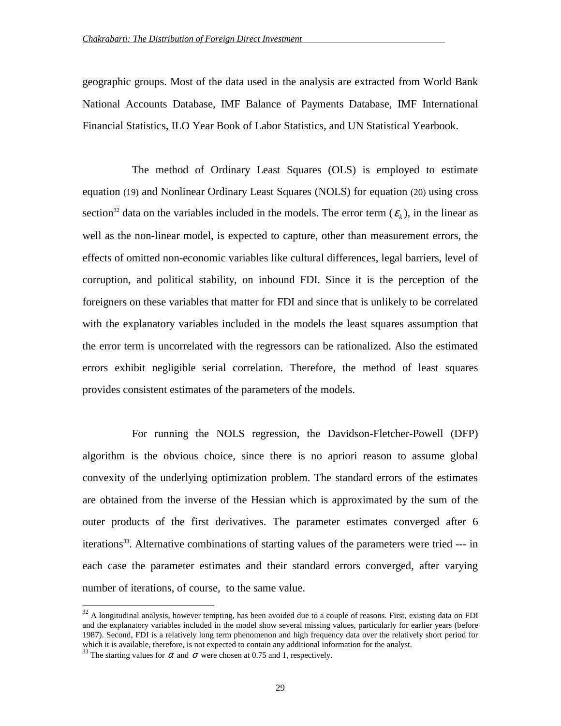geographic groups. Most of the data used in the analysis are extracted from World Bank National Accounts Database, IMF Balance of Payments Database, IMF International Financial Statistics, ILO Year Book of Labor Statistics, and UN Statistical Yearbook.

The method of Ordinary Least Squares (OLS) is employed to estimate equation (19) and Nonlinear Ordinary Least Squares (NOLS) for equation (20) using cross section<sup>32</sup> data on the variables included in the models. The error term  $(\varepsilon_k)$ , in the linear as well as the non-linear model, is expected to capture, other than measurement errors, the effects of omitted non-economic variables like cultural differences, legal barriers, level of corruption, and political stability, on inbound FDI. Since it is the perception of the foreigners on these variables that matter for FDI and since that is unlikely to be correlated with the explanatory variables included in the models the least squares assumption that the error term is uncorrelated with the regressors can be rationalized. Also the estimated errors exhibit negligible serial correlation. Therefore, the method of least squares provides consistent estimates of the parameters of the models.

For running the NOLS regression, the Davidson-Fletcher-Powell (DFP) algorithm is the obvious choice, since there is no apriori reason to assume global convexity of the underlying optimization problem. The standard errors of the estimates are obtained from the inverse of the Hessian which is approximated by the sum of the outer products of the first derivatives. The parameter estimates converged after 6 iterations<sup>33</sup>. Alternative combinations of starting values of the parameters were tried --- in each case the parameter estimates and their standard errors converged, after varying number of iterations, of course, to the same value.

 $32$  A longitudinal analysis, however tempting, has been avoided due to a couple of reasons. First, existing data on FDI and the explanatory variables included in the model show several missing values, particularly for earlier years (before 1987). Second, FDI is a relatively long term phenomenon and high frequency data over the relatively short period for which it is available, therefore, is not expected to contain any additional information for the analyst.

<sup>&</sup>lt;sup>33</sup> The starting values for  $\alpha$  and  $\sigma$  were chosen at 0.75 and 1, respectively.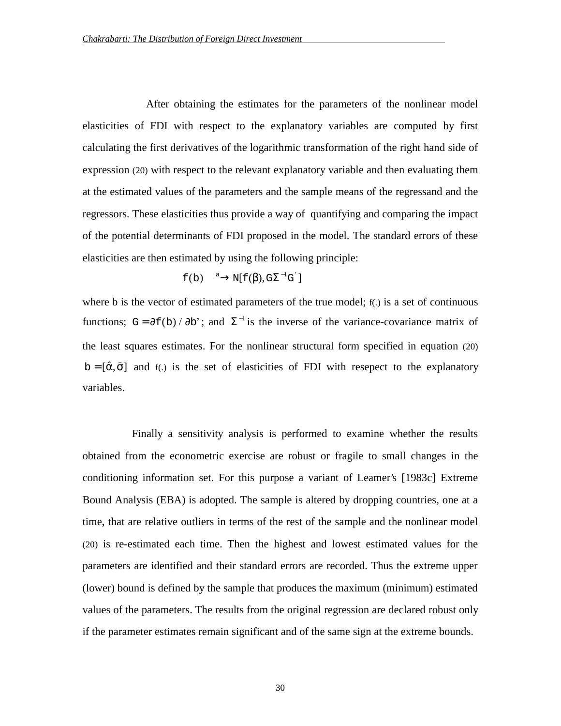After obtaining the estimates for the parameters of the nonlinear model elasticities of FDI with respect to the explanatory variables are computed by first calculating the first derivatives of the logarithmic transformation of the right hand side of expression (20) with respect to the relevant explanatory variable and then evaluating them at the estimated values of the parameters and the sample means of the regressand and the regressors. These elasticities thus provide a way of quantifying and comparing the impact of the potential determinants of FDI proposed in the model. The standard errors of these elasticities are then estimated by using the following principle:

$$
f(b) \xrightarrow{a} N[f(\beta), G\Sigma^{-1}G^{'}]
$$

where b is the vector of estimated parameters of the true model;  $f(.)$  is a set of continuous functions; G =  $\partial f(b) / \partial b'$ ; and  $\Sigma^{-1}$  is the inverse of the variance-covariance matrix of the least squares estimates. For the nonlinear structural form specified in equation (20)  $b = [\hat{\alpha}, \hat{\sigma}]$  and f(.) is the set of elasticities of FDI with resepect to the explanatory variables.

Finally a sensitivity analysis is performed to examine whether the results obtained from the econometric exercise are robust or fragile to small changes in the conditioning information set. For this purpose a variant of Leamer's [1983c] Extreme Bound Analysis (EBA) is adopted. The sample is altered by dropping countries, one at a time, that are relative outliers in terms of the rest of the sample and the nonlinear model (20) is re-estimated each time. Then the highest and lowest estimated values for the parameters are identified and their standard errors are recorded. Thus the extreme upper (lower) bound is defined by the sample that produces the maximum (minimum) estimated values of the parameters. The results from the original regression are declared robust only if the parameter estimates remain significant and of the same sign at the extreme bounds.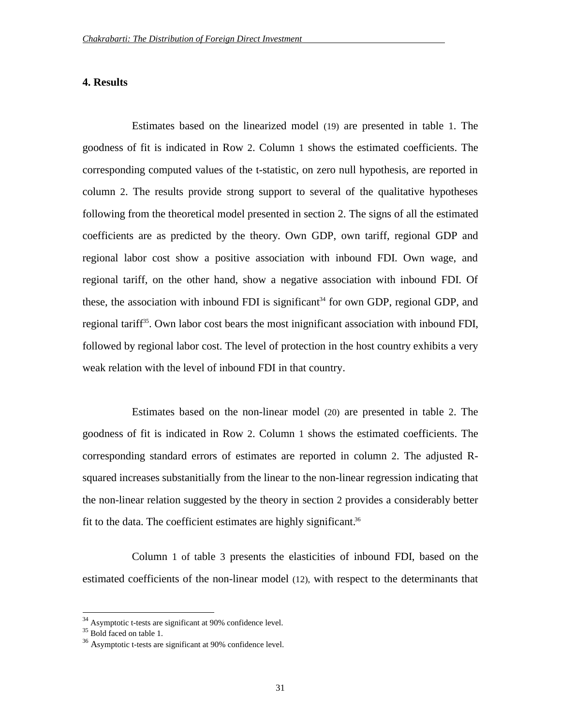## **4. Results**

Estimates based on the linearized model (19) are presented in table 1. The goodness of fit is indicated in Row 2. Column 1 shows the estimated coefficients. The corresponding computed values of the t-statistic, on zero null hypothesis, are reported in column 2. The results provide strong support to several of the qualitative hypotheses following from the theoretical model presented in section 2. The signs of all the estimated coefficients are as predicted by the theory. Own GDP, own tariff, regional GDP and regional labor cost show a positive association with inbound FDI. Own wage, and regional tariff, on the other hand, show a negative association with inbound FDI. Of these, the association with inbound FDI is significant<sup>34</sup> for own GDP, regional GDP, and regional tariff<sup>35</sup>. Own labor cost bears the most inignificant association with inbound FDI, followed by regional labor cost. The level of protection in the host country exhibits a very weak relation with the level of inbound FDI in that country.

Estimates based on the non-linear model (20) are presented in table 2. The goodness of fit is indicated in Row 2. Column 1 shows the estimated coefficients. The corresponding standard errors of estimates are reported in column 2. The adjusted Rsquared increases substanitially from the linear to the non-linear regression indicating that the non-linear relation suggested by the theory in section 2 provides a considerably better fit to the data. The coefficient estimates are highly significant. $36$ 

Column 1 of table 3 presents the elasticities of inbound FDI, based on the estimated coefficients of the non-linear model (12), with respect to the determinants that

 $34$  Asymptotic t-tests are significant at 90% confidence level.

 $35$  Bold faced on table 1.

<sup>36</sup> Asymptotic t-tests are significant at 90% confidence level.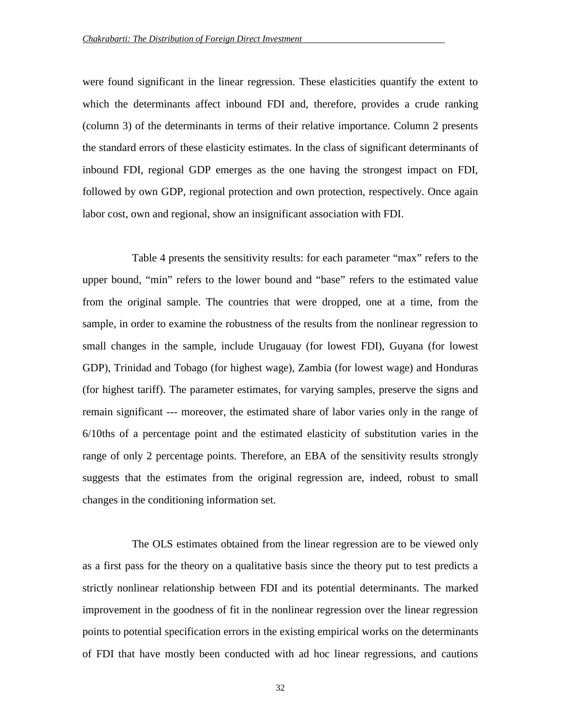were found significant in the linear regression. These elasticities quantify the extent to which the determinants affect inbound FDI and, therefore, provides a crude ranking (column 3) of the determinants in terms of their relative importance. Column 2 presents the standard errors of these elasticity estimates. In the class of significant determinants of inbound FDI, regional GDP emerges as the one having the strongest impact on FDI, followed by own GDP, regional protection and own protection, respectively. Once again labor cost, own and regional, show an insignificant association with FDI.

Table 4 presents the sensitivity results: for each parameter "max" refers to the upper bound, "min" refers to the lower bound and "base" refers to the estimated value from the original sample. The countries that were dropped, one at a time, from the sample, in order to examine the robustness of the results from the nonlinear regression to small changes in the sample, include Urugauay (for lowest FDI), Guyana (for lowest GDP), Trinidad and Tobago (for highest wage), Zambia (for lowest wage) and Honduras (for highest tariff). The parameter estimates, for varying samples, preserve the signs and remain significant --- moreover, the estimated share of labor varies only in the range of 6/10ths of a percentage point and the estimated elasticity of substitution varies in the range of only 2 percentage points. Therefore, an EBA of the sensitivity results strongly suggests that the estimates from the original regression are, indeed, robust to small changes in the conditioning information set.

The OLS estimates obtained from the linear regression are to be viewed only as a first pass for the theory on a qualitative basis since the theory put to test predicts a strictly nonlinear relationship between FDI and its potential determinants. The marked improvement in the goodness of fit in the nonlinear regression over the linear regression points to potential specification errors in the existing empirical works on the determinants of FDI that have mostly been conducted with ad hoc linear regressions, and cautions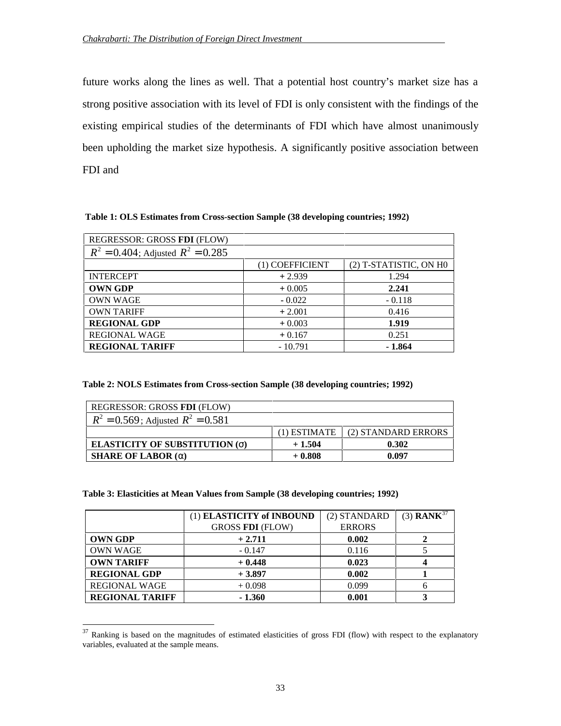future works along the lines as well. That a potential host country's market size has a strong positive association with its level of FDI is only consistent with the findings of the existing empirical studies of the determinants of FDI which have almost unanimously been upholding the market size hypothesis. A significantly positive association between FDI and

**Table 1: OLS Estimates from Cross-section Sample (38 developing countries; 1992)**

| REGRESSOR: GROSS FDI (FLOW)            |                 |                        |
|----------------------------------------|-----------------|------------------------|
| $R^2 = 0.404$ ; Adjusted $R^2 = 0.285$ |                 |                        |
|                                        | (1) COEFFICIENT | (2) T-STATISTIC, ON HO |
| <b>INTERCEPT</b>                       | $+2.939$        | 1.294                  |
| <b>OWN GDP</b>                         | $+0.005$        | 2.241                  |
| <b>OWN WAGE</b>                        | $-0.022$        | $-0.118$               |
| <b>OWN TARIFF</b>                      | $+2.001$        | 0.416                  |
| <b>REGIONAL GDP</b>                    | $+0.003$        | 1.919                  |
| <b>REGIONAL WAGE</b>                   | $+0.167$        | 0.251                  |
| <b>REGIONAL TARIFF</b>                 | $-10.791$       | $-1.864$               |

**Table 2: NOLS Estimates from Cross-section Sample (38 developing countries; 1992)**

| REGRESSOR: GROSS FDI (FLOW)                             |              |                     |  |
|---------------------------------------------------------|--------------|---------------------|--|
| $R^2 = 0.569$ ; Adjusted $R^2 = 0.581$                  |              |                     |  |
|                                                         | (1) ESTIMATE | (2) STANDARD ERRORS |  |
| <b>ELASTICITY OF SUBSTITUTION (<math>\sigma</math>)</b> | $+1.504$     | 0.302               |  |
| <b>SHARE OF LABOR</b> $(\alpha)$                        | $+0.808$     | 0.097               |  |

## **Table 3: Elasticities at Mean Values from Sample (38 developing countries; 1992)**

|                        | (1) ELASTICITY of INBOUND | (2) STANDARD  | $(3)$ RANK <sup>37</sup> |
|------------------------|---------------------------|---------------|--------------------------|
|                        | <b>GROSS FDI (FLOW)</b>   | <b>ERRORS</b> |                          |
| <b>OWN GDP</b>         | $+2.711$                  | 0.002         |                          |
| <b>OWN WAGE</b>        | $-0.147$                  | 0.116         |                          |
| <b>OWN TARIFF</b>      | $+0.448$                  | 0.023         |                          |
| <b>REGIONAL GDP</b>    | $+3.897$                  | 0.002         |                          |
| <b>REGIONAL WAGE</b>   | $+0.098$                  | 0.099         |                          |
| <b>REGIONAL TARIFF</b> | $-1.360$                  | 0.001         |                          |

 $37$  Ranking is based on the magnitudes of estimated elasticities of gross FDI (flow) with respect to the explanatory variables, evaluated at the sample means.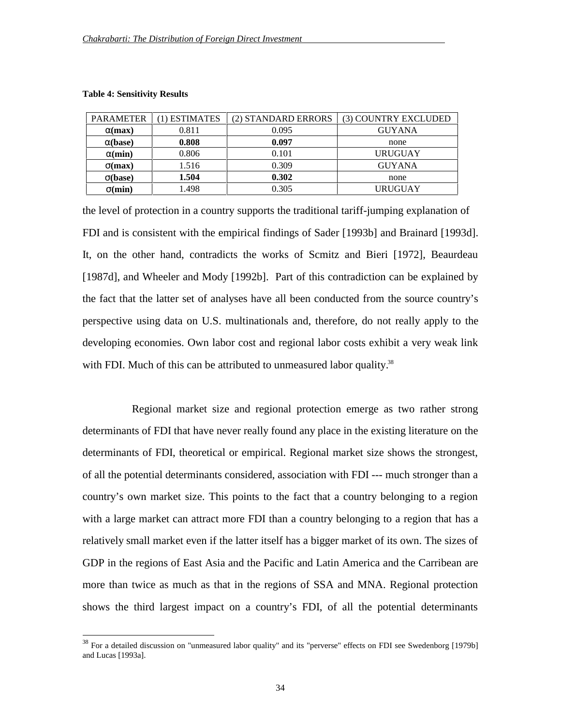| <b>PARAMETER</b> | 1) ESTIMATES | (2) STANDARD ERRORS | (3) COUNTRY EXCLUDED |
|------------------|--------------|---------------------|----------------------|
| $\alpha$ (max)   | 0.811        | 0.095               | <b>GUYANA</b>        |
| $\alpha$ (base)  | 0.808        | 0.097               | none                 |
| $\alpha$ (min)   | 0.806        | 0.101               | URUGUAY              |
| $\sigma$ (max)   | 1.516        | 0.309               | <b>GUYANA</b>        |
| $\sigma(base)$   | 1.504        | 0.302               | none                 |
| $\sigma$ (min)   | 1.498        | 0.305               | URUGUAY              |

#### **Table 4: Sensitivity Results**

 $\overline{a}$ 

the level of protection in a country supports the traditional tariff-jumping explanation of FDI and is consistent with the empirical findings of Sader [1993b] and Brainard [1993d]. It, on the other hand, contradicts the works of Scmitz and Bieri [1972], Beaurdeau [1987d], and Wheeler and Mody [1992b]. Part of this contradiction can be explained by the fact that the latter set of analyses have all been conducted from the source country's perspective using data on U.S. multinationals and, therefore, do not really apply to the developing economies. Own labor cost and regional labor costs exhibit a very weak link with FDI. Much of this can be attributed to unmeasured labor quality.<sup>38</sup>

Regional market size and regional protection emerge as two rather strong determinants of FDI that have never really found any place in the existing literature on the determinants of FDI, theoretical or empirical. Regional market size shows the strongest, of all the potential determinants considered, association with FDI --- much stronger than a country's own market size. This points to the fact that a country belonging to a region with a large market can attract more FDI than a country belonging to a region that has a relatively small market even if the latter itself has a bigger market of its own. The sizes of GDP in the regions of East Asia and the Pacific and Latin America and the Carribean are more than twice as much as that in the regions of SSA and MNA. Regional protection shows the third largest impact on a country's FDI, of all the potential determinants

<sup>&</sup>lt;sup>38</sup> For a detailed discussion on "unmeasured labor quality" and its "perverse" effects on FDI see Swedenborg [1979b] and Lucas [1993a].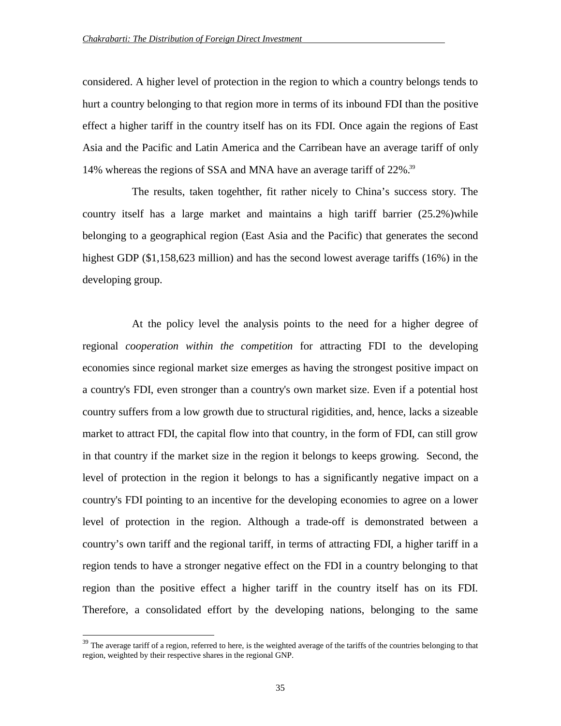considered. A higher level of protection in the region to which a country belongs tends to hurt a country belonging to that region more in terms of its inbound FDI than the positive effect a higher tariff in the country itself has on its FDI. Once again the regions of East Asia and the Pacific and Latin America and the Carribean have an average tariff of only 14% whereas the regions of SSA and MNA have an average tariff of 22%.39

The results, taken togehther, fit rather nicely to China's success story. The country itself has a large market and maintains a high tariff barrier (25.2%)while belonging to a geographical region (East Asia and the Pacific) that generates the second highest GDP (\$1,158,623 million) and has the second lowest average tariffs (16%) in the developing group.

 At the policy level the analysis points to the need for a higher degree of regional *cooperation within the competition* for attracting FDI to the developing economies since regional market size emerges as having the strongest positive impact on a country's FDI, even stronger than a country's own market size. Even if a potential host country suffers from a low growth due to structural rigidities, and, hence, lacks a sizeable market to attract FDI, the capital flow into that country, in the form of FDI, can still grow in that country if the market size in the region it belongs to keeps growing. Second, the level of protection in the region it belongs to has a significantly negative impact on a country's FDI pointing to an incentive for the developing economies to agree on a lower level of protection in the region. Although a trade-off is demonstrated between a country's own tariff and the regional tariff, in terms of attracting FDI, a higher tariff in a region tends to have a stronger negative effect on the FDI in a country belonging to that region than the positive effect a higher tariff in the country itself has on its FDI. Therefore, a consolidated effort by the developing nations, belonging to the same

<sup>&</sup>lt;sup>39</sup> The average tariff of a region, referred to here, is the weighted average of the tariffs of the countries belonging to that region, weighted by their respective shares in the regional GNP.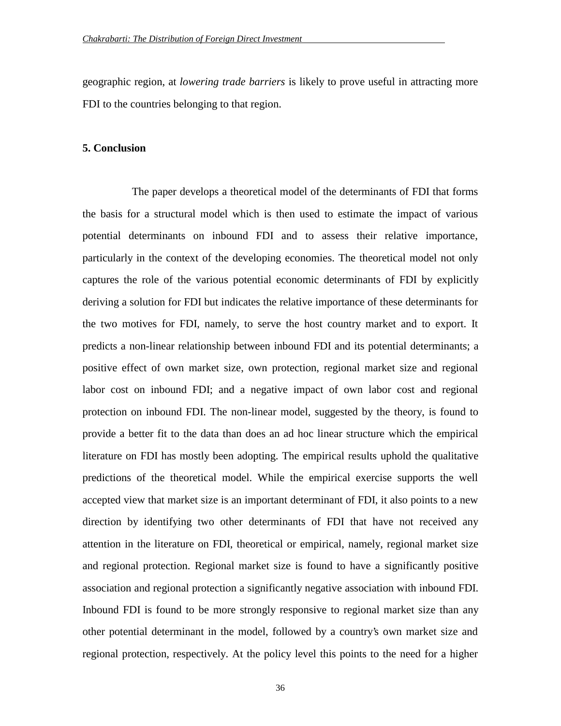geographic region, at *lowering trade barriers* is likely to prove useful in attracting more FDI to the countries belonging to that region.

## **5. Conclusion**

The paper develops a theoretical model of the determinants of FDI that forms the basis for a structural model which is then used to estimate the impact of various potential determinants on inbound FDI and to assess their relative importance, particularly in the context of the developing economies. The theoretical model not only captures the role of the various potential economic determinants of FDI by explicitly deriving a solution for FDI but indicates the relative importance of these determinants for the two motives for FDI, namely, to serve the host country market and to export. It predicts a non-linear relationship between inbound FDI and its potential determinants; a positive effect of own market size, own protection, regional market size and regional labor cost on inbound FDI; and a negative impact of own labor cost and regional protection on inbound FDI. The non-linear model, suggested by the theory, is found to provide a better fit to the data than does an ad hoc linear structure which the empirical literature on FDI has mostly been adopting. The empirical results uphold the qualitative predictions of the theoretical model. While the empirical exercise supports the well accepted view that market size is an important determinant of FDI, it also points to a new direction by identifying two other determinants of FDI that have not received any attention in the literature on FDI, theoretical or empirical, namely, regional market size and regional protection. Regional market size is found to have a significantly positive association and regional protection a significantly negative association with inbound FDI. Inbound FDI is found to be more strongly responsive to regional market size than any other potential determinant in the model, followed by a country's own market size and regional protection, respectively. At the policy level this points to the need for a higher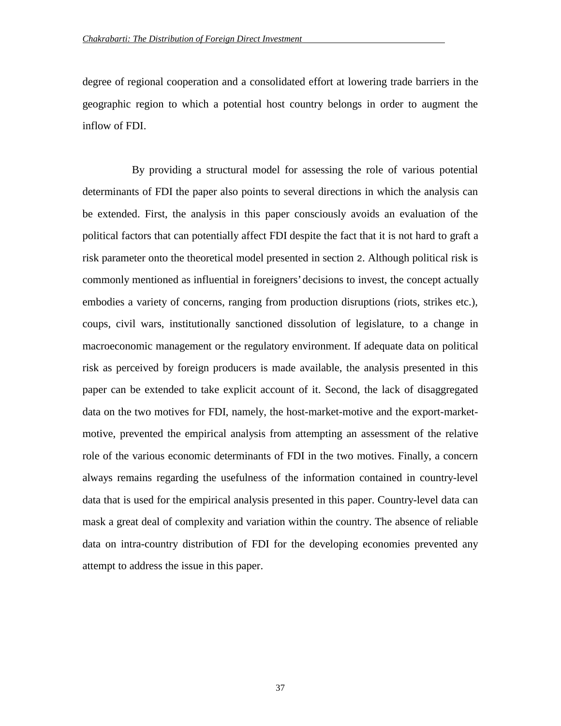degree of regional cooperation and a consolidated effort at lowering trade barriers in the geographic region to which a potential host country belongs in order to augment the inflow of FDI.

By providing a structural model for assessing the role of various potential determinants of FDI the paper also points to several directions in which the analysis can be extended. First, the analysis in this paper consciously avoids an evaluation of the political factors that can potentially affect FDI despite the fact that it is not hard to graft a risk parameter onto the theoretical model presented in section 2. Although political risk is commonly mentioned as influential in foreigners' decisions to invest, the concept actually embodies a variety of concerns, ranging from production disruptions (riots, strikes etc.), coups, civil wars, institutionally sanctioned dissolution of legislature, to a change in macroeconomic management or the regulatory environment. If adequate data on political risk as perceived by foreign producers is made available, the analysis presented in this paper can be extended to take explicit account of it. Second, the lack of disaggregated data on the two motives for FDI, namely, the host-market-motive and the export-marketmotive, prevented the empirical analysis from attempting an assessment of the relative role of the various economic determinants of FDI in the two motives. Finally, a concern always remains regarding the usefulness of the information contained in country-level data that is used for the empirical analysis presented in this paper. Country-level data can mask a great deal of complexity and variation within the country. The absence of reliable data on intra-country distribution of FDI for the developing economies prevented any attempt to address the issue in this paper.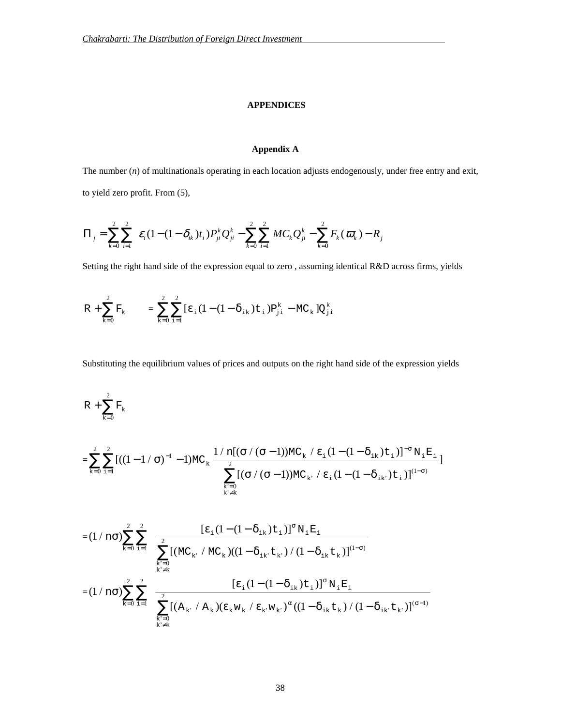#### **APPENDICES**

## **Appendix A**

The number (*n*) of multinationals operating in each location adjusts endogenously, under free entry and exit, to yield zero profit. From (5),

$$
\Pi_{j} = \sum_{k=0}^{2} \sum_{i=1}^{2} \varepsilon_{i} (1 - (1 - \delta_{ik}) t_{i}) P_{ji}^{k} Q_{ji}^{k} - \sum_{k=0}^{2} \sum_{i=1}^{2} M C_{k} Q_{ji}^{k} - \sum_{k=0}^{2} F_{k} (\varpi_{k}) - R_{j}
$$

Setting the right hand side of the expression equal to zero , assuming identical R&D across firms, yields

$$
R + \sum_{k=0}^2 F_k \quad \ \ = \sum_{k=0}^2 \sum_{i=1}^2 \bigl[ \epsilon_{_i} \bigl( 1 - (1-\delta_{_{1k}}) t_{_{1}} \bigr) P^k_{_{1j}} - M C_{_k} \bigr] Q^k_{_{j1}}
$$

Substituting the equilibrium values of prices and outputs on the right hand side of the expression yields

$$
R+\sum_{k=0}^2 F_k
$$

$$
= \sum_{k=0}^{2}\sum_{i=1}^{2} \big[( (1-1 \, / \, \sigma)^{-1} - 1)MC_{k} \, \frac{1 \, / \, n[( \sigma \, / \, (\sigma - 1) )MC_{k} \, / \, \epsilon_{i} \, (1- (1-\delta_{i k}) \, t_{i} \, )]^{-\sigma} \, N_{i} \, E_{i} }{\displaystyle \sum_{\substack{k'=0 \\ k' \neq k}}^{2} \big[( \sigma \, / \, (\sigma - 1) )MC_{k'} \, / \, \epsilon_{i} \, (1- (1-\delta_{i k}) \, t_{i} \, ) \big]^{(1-\sigma)} } \big]
$$

$$
= (1 \wedge n \sigma) \sum_{k=0}^{2} \sum_{i=1}^{2} \frac{[\epsilon_{i} (1 - (1 - \delta_{ik}) t_{i})]^{\sigma} N_{i} E_{i}}{\sum_{\substack{k'=0 \ k \neq k}}^{2} [(M C_{k} / M C_{k})((1 - \delta_{ik} t_{k}) / (1 - \delta_{ik} t_{k})]^{(1 - \sigma)}}\n= (1 \wedge n \sigma) \sum_{k=0}^{2} \sum_{i=1}^{2} \frac{[\epsilon_{i} (1 - (1 - \delta_{ik}) t_{i})]^{\sigma} N_{i} E_{i}}{[\epsilon_{i} (1 - (1 - \delta_{ik}) t_{i})]^{\sigma} N_{i} E_{i}}\n= \sum_{\substack{k'=0 \ k \neq k}}^{2} [(A_{k} / A_{k}) (\epsilon_{k} w_{k} / \epsilon_{k} w_{k})^{\alpha} ((1 - \delta_{ik} t_{k}) / (1 - \delta_{ik} t_{k})]^{(\sigma - 1)}}\n\tag{1 - \delta_{ik} t_{k}})
$$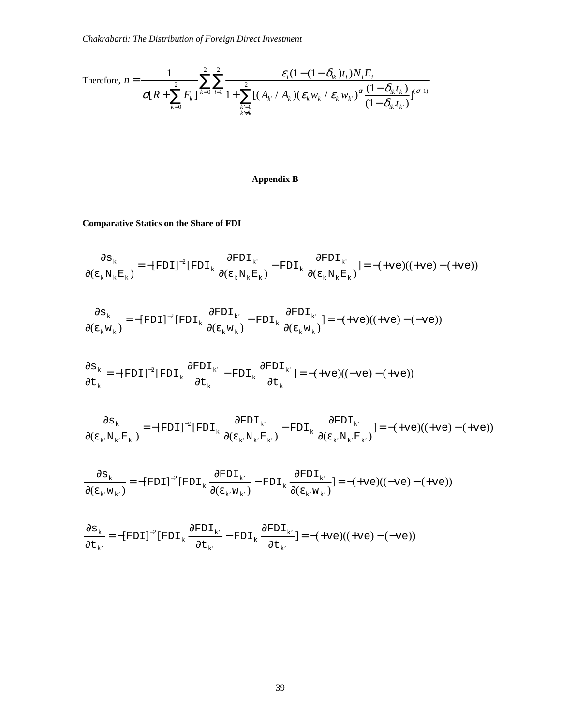Therefore, 
$$
n = \frac{1}{\sigma[R + \sum_{k=0}^{2} F_k]} \sum_{i=1}^{2} \frac{\varepsilon_i (1 - (1 - \delta_{ik}) t_i) N_i E_i}{1 + \sum_{\substack{k=0 \ k \neq k}}^{2} [(A_{k} / A_k) (\varepsilon_k w_k / \varepsilon_k w_k)^{\alpha} \frac{(1 - \delta_{ik} t_k)}{(1 - \delta_{ik} t_k)}]^{(\sigma-1)}}
$$

# **Appendix B**

**Comparative Statics on the Share of FDI**

$$
\frac{\partial s_{k}}{\partial(\epsilon_{k}N_{k}E_{k})} = -[FDI]^{-2}[FDI_{k} \frac{\partial FDI_{k'}}{\partial(\epsilon_{k}N_{k}E_{k})} - FDI_{k} \frac{\partial FDI_{k'}}{\partial(\epsilon_{k}N_{k}E_{k})}] = -(+ve)((+ve) - (+ve))
$$

$$
\frac{\partial \mathbf{s}_{k}}{\partial(\varepsilon_{k} \mathbf{w}_{k})} = -[\text{FDI}]^{-2} [\text{FDI}_{k} \frac{\partial \text{FDI}_{k'}}{\partial(\varepsilon_{k} \mathbf{w}_{k})} - \text{FDI}_{k} \frac{\partial \text{FDI}_{k'}}{\partial(\varepsilon_{k} \mathbf{w}_{k})}] = -(\text{+ve})((\text{+ve}) - (\text{+ve}))
$$

$$
\frac{\partial \mathbf{s}_{k}}{\partial t_{k}} = -[\text{FDI}]^{-2}[\text{FDI}_{k} \frac{\partial \text{FDI}_{k'}}{\partial t_{k}} - \text{FDI}_{k} \frac{\partial \text{FDI}_{k'}}{\partial t_{k}}] = -(\text{+ve})((-\text{ve}) - (\text{+ve}))
$$

$$
\frac{\partial \mathbf{s}_{k}}{\partial (\boldsymbol{\epsilon}_{k} \cdot \mathbf{N}_{k} \cdot \mathbf{E}_{k})} = -[\text{FDI}]^{-2} [\text{FDI}_{k} \frac{\partial \text{FDI}_{k} \cdot \partial \text{FDI}_{k}}{\partial (\boldsymbol{\epsilon}_{k} \cdot \mathbf{N}_{k} \cdot \mathbf{E}_{k} \cdot)} - \text{FDI}_{k} \frac{\partial \text{FDI}_{k} \cdot \partial \text{FDI}_{k} \cdot \partial \text{FDI}_{k}}{\partial (\boldsymbol{\epsilon}_{k} \cdot \mathbf{N}_{k} \cdot \mathbf{E}_{k} \cdot)}] = -(\text{+ve})((\text{+ve}) - (\text{+ve}))
$$

$$
\frac{\partial \mathbf{s}_{k}}{\partial(\boldsymbol{\epsilon}_{k^{\boldsymbol{\cdot}}}\boldsymbol{w}_{k^{\boldsymbol{\cdot}}})} \!=\! -[\mathrm{FDI}]^{-2} [\mathrm{FDI}_{k}\,\frac{\partial \mathrm{FDI}_{k^{\boldsymbol{\cdot}}}}{\partial(\boldsymbol{\epsilon}_{k^{\boldsymbol{\cdot}}}\boldsymbol{w}_{k^{\boldsymbol{\cdot}}}}) - \mathrm{FDI}_{k}\,\frac{\partial \mathrm{FDI}_{k^{\boldsymbol{\cdot}}}}{\partial(\boldsymbol{\epsilon}_{k^{\boldsymbol{\cdot}}}\boldsymbol{w}_{k^{\boldsymbol{\cdot}}}}) \!=\! -(\!+\mathrm{ve})((-\mathrm{ve})-(+\mathrm{ve}))
$$

$$
\frac{\partial \mathbf{s}_{k}}{\partial t_{k'}} = -[\text{FDI}]^{-2}[\text{FDI}_{k} \frac{\partial \text{FDI}_{k'}}{\partial t_{k'}} - \text{FDI}_{k} \frac{\partial \text{FDI}_{k'}}{\partial t_{k'}}] = -(\text{+ve})((\text{+ve}) - (\text{+ve}))
$$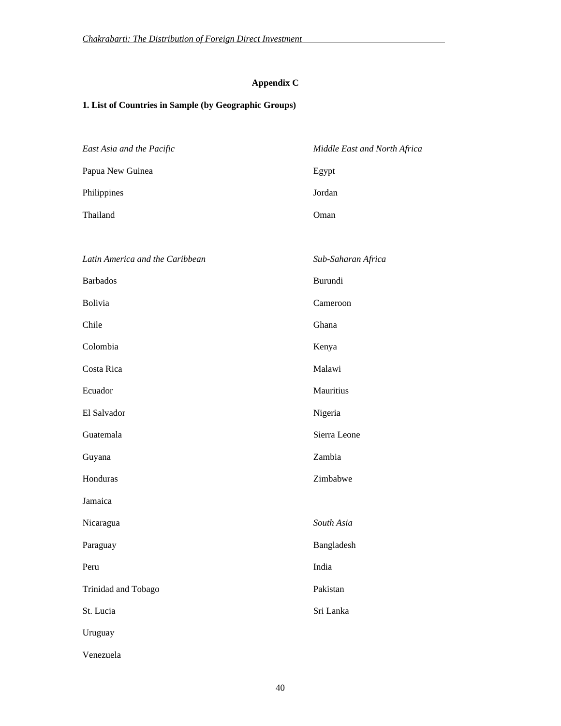# **Appendix C**

# **1. List of Countries in Sample (by Geographic Groups)**

| East Asia and the Pacific       | Middle East and North Africa |
|---------------------------------|------------------------------|
| Papua New Guinea                | Egypt                        |
| Philippines                     | Jordan                       |
| Thailand                        | Oman                         |
|                                 |                              |
| Latin America and the Caribbean | Sub-Saharan Africa           |
| <b>Barbados</b>                 | Burundi                      |
| Bolivia                         | Cameroon                     |
| Chile                           | Ghana                        |
| Colombia                        | Kenya                        |
| Costa Rica                      | Malawi                       |
| Ecuador                         | Mauritius                    |
| El Salvador                     | Nigeria                      |
| Guatemala                       | Sierra Leone                 |
| Guyana                          | Zambia                       |
| Honduras                        | Zimbabwe                     |
| Jamaica                         |                              |
| Nicaragua                       | South Asia                   |
| Paraguay                        | Bangladesh                   |
| Peru                            | India                        |
| Trinidad and Tobago             | Pakistan                     |
| St. Lucia                       | Sri Lanka                    |
| Uruguay                         |                              |
| Venezuela                       |                              |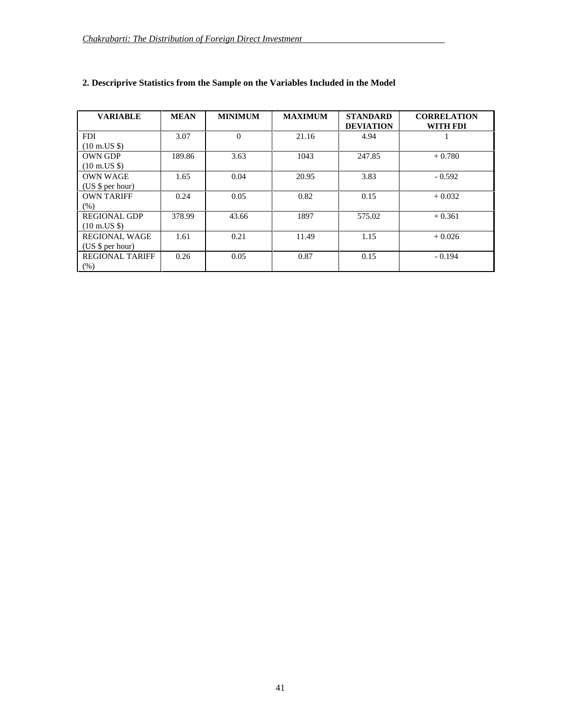| <b>VARIABLE</b>                 | <b>MEAN</b> | <b>MINIMUM</b> | <b>MAXIMUM</b> | <b>STANDARD</b><br><b>DEVIATION</b> | <b>CORRELATION</b><br>WITH FDI |
|---------------------------------|-------------|----------------|----------------|-------------------------------------|--------------------------------|
| <b>FDI</b>                      | 3.07        | $\Omega$       | 21.16          | 4.94                                |                                |
| $(10 \text{ m.} \text{US }$ \$) |             |                |                |                                     |                                |
| <b>OWN GDP</b>                  | 189.86      | 3.63           | 1043           | 247.85                              | $+0.780$                       |
| $(10 \text{ m.} \text{US }$ \$) |             |                |                |                                     |                                |
| <b>OWN WAGE</b>                 | 1.65        | 0.04           | 20.95          | 3.83                                | $-0.592$                       |
| (US $\frac{1}{2}$ per hour)     |             |                |                |                                     |                                |
| <b>OWN TARIFF</b>               | 0.24        | 0.05           | 0.82           | 0.15                                | $+0.032$                       |
| (% )                            |             |                |                |                                     |                                |
| <b>REGIONAL GDP</b>             | 378.99      | 43.66          | 1897           | 575.02                              | $+0.361$                       |
| $(10 \text{ m.} \text{US }$ \$) |             |                |                |                                     |                                |
| <b>REGIONAL WAGE</b>            | 1.61        | 0.21           | 11.49          | 1.15                                | $+0.026$                       |
| (US $\frac{1}{2}$ per hour)     |             |                |                |                                     |                                |
| <b>REGIONAL TARIFF</b>          | 0.26        | 0.05           | 0.87           | 0.15                                | $-0.194$                       |
| (% )                            |             |                |                |                                     |                                |

# **2. Descriprive Statistics from the Sample on the Variables Included in the Model**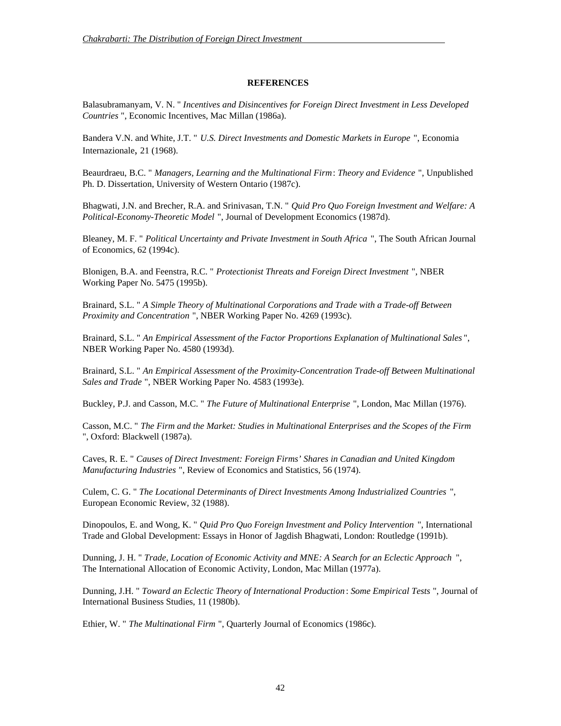## **REFERENCES**

Balasubramanyam, V. N. " *Incentives and Disincentives for Foreign Direct Investment in Less Developed Countries* ", Economic Incentives, Mac Millan (1986a).

Bandera V.N. and White, J.T. " *U.S. Direct Investments and Domestic Markets in Europe* ", Economia Internazionale, 21 (1968).

Beaurdraeu, B.C. " *Managers, Learning and the Multinational Firm*: *Theory and Evidence* ", Unpublished Ph. D. Dissertation, University of Western Ontario (1987c).

Bhagwati, J.N. and Brecher, R.A. and Srinivasan, T.N. " *Quid Pro Quo Foreign Investment and Welfare: A Political-Economy-Theoretic Model* ", Journal of Development Economics (1987d).

Bleaney, M. F. " *Political Uncertainty and Private Investment in South Africa* ", The South African Journal of Economics, 62 (1994c).

Blonigen, B.A. and Feenstra, R.C. " *Protectionist Threats and Foreign Direct Investment* ", NBER Working Paper No. 5475 (1995b).

Brainard, S.L. " *A Simple Theory of Multinational Corporations and Trade with a Trade-off Between Proximity and Concentration* ", NBER Working Paper No. 4269 (1993c).

Brainard, S.L. " *An Empirical Assessment of the Factor Proportions Explanation of Multinational Sales* ", NBER Working Paper No. 4580 (1993d).

Brainard, S.L. " *An Empirical Assessment of the Proximity-Concentration Trade-off Between Multinational Sales and Trade* ", NBER Working Paper No. 4583 (1993e).

Buckley, P.J. and Casson, M.C. " *The Future of Multinational Enterprise* ", London, Mac Millan (1976).

Casson, M.C. " *The Firm and the Market: Studies in Multinational Enterprises and the Scopes of the Firm* ", Oxford: Blackwell (1987a).

Caves, R. E. " *Causes of Direct Investment: Foreign Firms' Shares in Canadian and United Kingdom Manufacturing Industries* ", Review of Economics and Statistics, 56 (1974).

Culem, C. G. " *The Locational Determinants of Direct Investments Among Industrialized Countries* ", European Economic Review, 32 (1988).

Dinopoulos, E. and Wong, K. " *Quid Pro Quo Foreign Investment and Policy Intervention* ", International Trade and Global Development: Essays in Honor of Jagdish Bhagwati, London: Routledge (1991b).

Dunning, J. H. " *Trade, Location of Economic Activity and MNE: A Search for an Eclectic Approach* ", The International Allocation of Economic Activity, London, Mac Millan (1977a).

Dunning, J.H. " *Toward an Eclectic Theory of International Production* : *Some Empirical Tests* ", Journal of International Business Studies, 11 (1980b).

Ethier, W. " *The Multinational Firm* ", Quarterly Journal of Economics (1986c).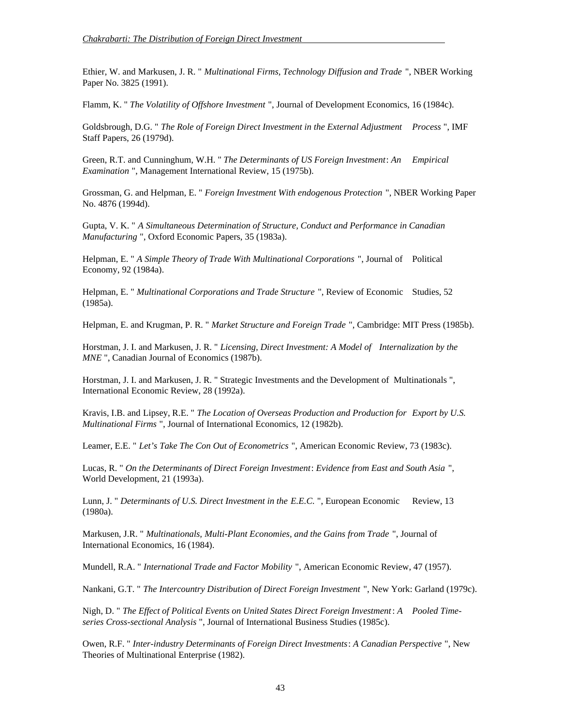Ethier, W. and Markusen, J. R. " *Multinational Firms, Technology Diffusion and Trade* ", NBER Working Paper No. 3825 (1991).

Flamm, K. " *The Volatility of Offshore Investment* ", Journal of Development Economics, 16 (1984c).

Goldsbrough, D.G. " *The Role of Foreign Direct Investment in the External Adjustment Process* ", IMF Staff Papers, 26 (1979d).

Green, R.T. and Cunninghum, W.H. " *The Determinants of US Foreign Investment*: *An Empirical Examination* ", Management International Review, 15 (1975b).

Grossman, G. and Helpman, E. " *Foreign Investment With endogenous Protection* ", NBER Working Paper No. 4876 (1994d).

Gupta, V. K. " *A Simultaneous Determination of Structure, Conduct and Performance in Canadian Manufacturing* ", Oxford Economic Papers, 35 (1983a).

Helpman, E. " *A Simple Theory of Trade With Multinational Corporations* ", Journal of Political Economy, 92 (1984a).

Helpman, E. " *Multinational Corporations and Trade Structure* ", Review of Economic Studies, 52 (1985a).

Helpman, E. and Krugman, P. R. " *Market Structure and Foreign Trade* ", Cambridge: MIT Press (1985b).

Horstman, J. I. and Markusen, J. R. " *Licensing, Direct Investment: A Model of Internalization by the MNE* ", Canadian Journal of Economics (1987b).

Horstman, J. I. and Markusen, J. R. " Strategic Investments and the Development of Multinationals ", International Economic Review, 28 (1992a).

Kravis, I.B. and Lipsey, R.E. " *The Location of Overseas Production and Production for Export by U.S. Multinational Firms* ", Journal of International Economics, 12 (1982b).

Leamer, E.E. " *Let's Take The Con Out of Econometrics* ", American Economic Review, 73 (1983c).

Lucas, R. " *On the Determinants of Direct Foreign Investment*: *Evidence from East and South Asia* ", World Development, 21 (1993a).

Lunn, J. " *Determinants of U.S. Direct Investment in the E.E.C.* ", European Economic Review, 13 (1980a).

Markusen, J.R. " *Multinationals, Multi-Plant Economies, and the Gains from Trade* ", Journal of International Economics, 16 (1984).

Mundell, R.A. " *International Trade and Factor Mobility* ", American Economic Review, 47 (1957).

Nankani, G.T. " *The Intercountry Distribution of Direct Foreign Investment* ", New York: Garland (1979c).

Nigh, D. " *The Effect of Political Events on United States Direct Foreign Investment*: *A Pooled Timeseries Cross-sectional Analysis* ", Journal of International Business Studies (1985c).

Owen, R.F. " *Inter-industry Determinants of Foreign Direct Investments*: *A Canadian Perspective* ", New Theories of Multinational Enterprise (1982).